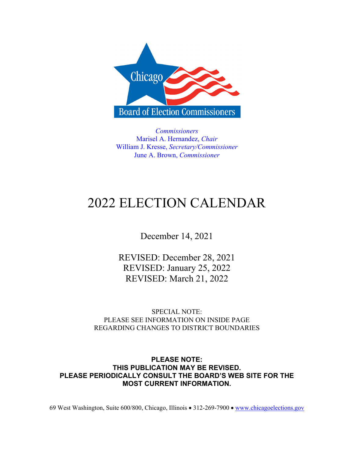

*Commissioners*  Marisel A. Hernandez, *Chair* William J. Kresse, *Secretary/Commissioner*  June A. Brown, *Commissioner*

# 2022 ELECTION CALENDAR

December 14, 2021

REVISED: December 28, 2021 REVISED: January 25, 2022 REVISED: March 21, 2022

SPECIAL NOTE: PLEASE SEE INFORMATION ON INSIDE PAGE REGARDING CHANGES TO DISTRICT BOUNDARIES

**PLEASE NOTE: THIS PUBLICATION MAY BE REVISED. PLEASE PERIODICALLY CONSULT THE BOARD'S WEB SITE FOR THE MOST CURRENT INFORMATION.** 

69 West Washington, Suite 600/800, Chicago, Illinois • 312-269-7900 • www.chicagoelections.gov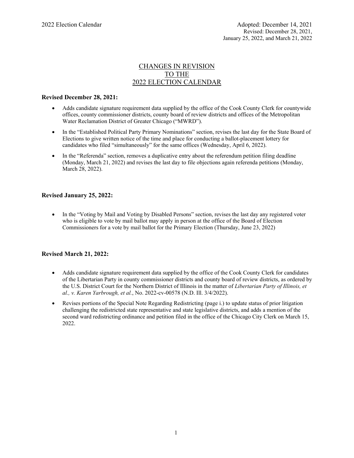# CHANGES IN REVISION TO THE 2022 ELECTION CALENDAR

### **Revised December 28, 2021:**

- Adds candidate signature requirement data supplied by the office of the Cook County Clerk for countywide offices, county commissioner districts, county board of review districts and offices of the Metropolitan Water Reclamation District of Greater Chicago ("MWRD").
- In the "Established Political Party Primary Nominations" section, revises the last day for the State Board of Elections to give written notice of the time and place for conducting a ballot-placement lottery for candidates who filed "simultaneously" for the same offices (Wednesday, April 6, 2022).
- In the "Referenda" section, removes a duplicative entry about the referendum petition filing deadline (Monday, March 21, 2022) and revises the last day to file objections again referenda petitions (Monday, March 28, 2022).

### **Revised January 25, 2022:**

• In the "Voting by Mail and Voting by Disabled Persons" section, revises the last day any registered voter who is eligible to vote by mail ballot may apply in person at the office of the Board of Election Commissioners for a vote by mail ballot for the Primary Election (Thursday, June 23, 2022)

### **Revised March 21, 2022:**

- Adds candidate signature requirement data supplied by the office of the Cook County Clerk for candidates of the Libertarian Party in county commissioner districts and county board of review districts, as ordered by the U.S. District Court for the Northern District of Illinois in the matter of *Libertarian Party of Illinois, et al., v. Karen Yarbrough, et al.*, No. 2022-cv-00578 (N.D. Ill. 3/4/2022).
- Revises portions of the Special Note Regarding Redistricting (page i.) to update status of prior litigation challenging the redistricted state representative and state legislative districts, and adds a mention of the second ward redistricting ordinance and petition filed in the office of the Chicago City Clerk on March 15, 2022.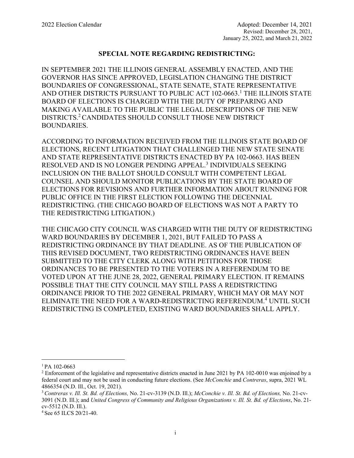# **SPECIAL NOTE REGARDING REDISTRICTING:**

IN SEPTEMBER 2021 THE ILLINOIS GENERAL ASSEMBLY ENACTED, AND THE GOVERNOR HAS SINCE APPROVED, LEGISLATION CHANGING THE DISTRICT BOUNDARIES OF CONGRESSIONAL, STATE SENATE, STATE REPRESENTATIVE AND OTHER DISTRICTS PURSUANT TO PUBLIC ACT 102-0663.<sup>1</sup> THE ILLINOIS STATE BOARD OF ELECTIONS IS CHARGED WITH THE DUTY OF PREPARING AND MAKING AVAILABLE TO THE PUBLIC THE LEGAL DESCRIPTIONS OF THE NEW DISTRICTS.2 CANDIDATES SHOULD CONSULT THOSE NEW DISTRICT BOUNDARIES.

ACCORDING TO INFORMATION RECEIVED FROM THE ILLINOIS STATE BOARD OF ELECTIONS, RECENT LITIGATION THAT CHALLENGED THE NEW STATE SENATE AND STATE REPRESENTATIVE DISTRICTS ENACTED BY PA 102-0663. HAS BEEN RESOLVED AND IS NO LONGER PENDING APPEAL.<sup>3</sup> INDIVIDUALS SEEKING INCLUSION ON THE BALLOT SHOULD CONSULT WITH COMPETENT LEGAL COUNSEL AND SHOULD MONITOR PUBLICATIONS BY THE STATE BOARD OF ELECTIONS FOR REVISIONS AND FURTHER INFORMATION ABOUT RUNNING FOR PUBLIC OFFICE IN THE FIRST ELECTION FOLLOWING THE DECENNIAL REDISTRICTING. (THE CHICAGO BOARD OF ELECTIONS WAS NOT A PARTY TO THE REDISTRICTING LITIGATION.)

THE CHICAGO CITY COUNCIL WAS CHARGED WITH THE DUTY OF REDISTRICTING WARD BOUNDARIES BY DECEMBER 1, 2021, BUT FAILED TO PASS A REDISTRICTING ORDINANCE BY THAT DEADLINE. AS OF THE PUBLICATION OF THIS REVISED DOCUMENT, TWO REDISTRICTING ORDINANCES HAVE BEEN SUBMITTED TO THE CITY CLERK ALONG WITH PETITIONS FOR THOSE ORDINANCES TO BE PRESENTED TO THE VOTERS IN A REFERENDUM TO BE VOTED UPON AT THE JUNE 28, 2022, GENERAL PRIMARY ELECTION. IT REMAINS POSSIBLE THAT THE CITY COUNCIL MAY STILL PASS A REDISTRICTING ORDINANCE PRIOR TO THE 2022 GENERAL PRIMARY, WHICH MAY OR MAY NOT ELIMINATE THE NEED FOR A WARD-REDISTRICTING REFERENDUM.<sup>4</sup> UNTIL SUCH REDISTRICTING IS COMPLETED, EXISTING WARD BOUNDARIES SHALL APPLY.

i

 $1$  PA 102-0663

<sup>&</sup>lt;sup>2</sup> Enforcement of the legislative and representative districts enacted in June 2021 by PA 102-0010 was enjoined by a federal court and may not be used in conducting future elections. (See *McConchie* and *Contreras*, supra, 2021 WL 4866354 (N.D. Ill., Oct. 19, 2021).

<sup>3</sup> *Contreras v. Ill. St. Bd. of Elections,* No. 21-cv-3139 (N.D. Ill.); *McConchie v. Ill. St. Bd. of Elections,* No. 21-cv-3091 (N.D. Ill.); and *United Congress of Community and Religious Organizations v. Ill. St. Bd. of Elections*, No. 21 cv-5512 (N.D. Ill.).

<sup>4</sup> See 65 ILCS 20/21-40.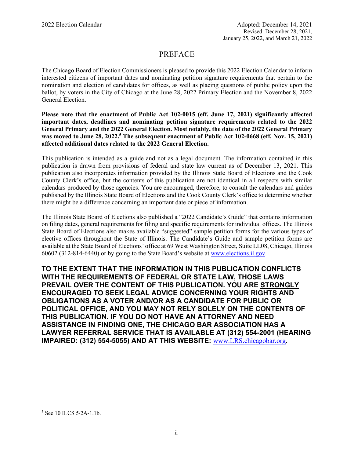# PREFACE

The Chicago Board of Election Commissioners is pleased to provide this 2022 Election Calendar to inform interested citizens of important dates and nominating petition signature requirements that pertain to the nomination and election of candidates for offices, as well as placing questions of public policy upon the ballot, by voters in the City of Chicago at the June 28, 2022 Primary Election and the November 8, 2022 General Election.

**Please note that the enactment of Public Act 102-0015 (eff. June 17, 2021) significantly affected important dates, deadlines and nominating petition signature requirements related to the 2022 General Primary and the 2022 General Election. Most notably, the date of the 2022 General Primary**  was moved to June 28, 2022.<sup>5</sup> The subsequent enactment of Public Act 102-0668 (eff. Nov. 15, 2021) **affected additional dates related to the 2022 General Election.** 

This publication is intended as a guide and not as a legal document. The information contained in this publication is drawn from provisions of federal and state law current as of December 13, 2021. This publication also incorporates information provided by the Illinois State Board of Elections and the Cook County Clerk's office, but the contents of this publication are not identical in all respects with similar calendars produced by those agencies. You are encouraged, therefore, to consult the calendars and guides published by the Illinois State Board of Elections and the Cook County Clerk's office to determine whether there might be a difference concerning an important date or piece of information.

The Illinois State Board of Elections also published a "2022 Candidate's Guide" that contains information on filing dates, general requirements for filing and specific requirements for individual offices. The Illinois State Board of Elections also makes available "suggested" sample petition forms for the various types of elective offices throughout the State of Illinois. The Candidate's Guide and sample petition forms are available at the State Board of Elections' office at 69 West Washington Street, Suite LL08, Chicago, Illinois 60602 (312-814-6440) or by going to the State Board's website at www.elections.il.gov.

**TO THE EXTENT THAT THE INFORMATION IN THIS PUBLICATION CONFLICTS WITH THE REQUIREMENTS OF FEDERAL OR STATE LAW, THOSE LAWS PREVAIL OVER THE CONTENT OF THIS PUBLICATION. YOU ARE STRONGLY ENCOURAGED TO SEEK LEGAL ADVICE CONCERNING YOUR RIGHTS AND OBLIGATIONS AS A VOTER AND/OR AS A CANDIDATE FOR PUBLIC OR POLITICAL OFFICE, AND YOU MAY NOT RELY SOLELY ON THE CONTENTS OF THIS PUBLICATION. IF YOU DO NOT HAVE AN ATTORNEY AND NEED ASSISTANCE IN FINDING ONE, THE CHICAGO BAR ASSOCIATION HAS A LAWYER REFERRAL SERVICE THAT IS AVAILABLE AT (312) 554-2001 (HEARING IMPAIRED: (312) 554-5055) AND AT THIS WEBSITE:** www.LRS.chicagobar.org**.** 

i<br>Li

<sup>5</sup> See 10 ILCS 5/2A-1.1b.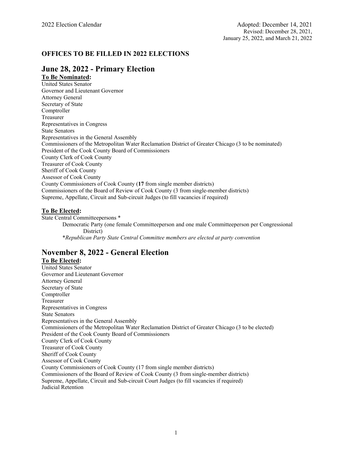# **OFFICES TO BE FILLED IN 2022 ELECTIONS**

# **June 28, 2022 - Primary Election**

**To Be Nominated:** 

United States Senator Governor and Lieutenant Governor Attorney General Secretary of State Comptroller Treasurer Representatives in Congress State Senators Representatives in the General Assembly Commissioners of the Metropolitan Water Reclamation District of Greater Chicago (3 to be nominated) President of the Cook County Board of Commissioners County Clerk of Cook County Treasurer of Cook County Sheriff of Cook County Assessor of Cook County County Commissioners of Cook County (**17** from single member districts) Commissioners of the Board of Review of Cook County (3 from single-member districts) Supreme, Appellate, Circuit and Sub-circuit Judges (to fill vacancies if required)

### **To Be Elected:**

State Central Committeepersons \* Democratic Party (one female Committeeperson and one male Committeeperson per Congressional District) \**Republican Party State Central Committee members are elected at party convention* 

# **November 8, 2022 - General Election**

### **To Be Elected:**

United States Senator Governor and Lieutenant Governor Attorney General Secretary of State Comptroller Treasurer Representatives in Congress State Senators Representatives in the General Assembly Commissioners of the Metropolitan Water Reclamation District of Greater Chicago (3 to be elected) President of the Cook County Board of Commissioners County Clerk of Cook County Treasurer of Cook County Sheriff of Cook County Assessor of Cook County County Commissioners of Cook County (17 from single member districts) Commissioners of the Board of Review of Cook County (3 from single-member districts) Supreme, Appellate, Circuit and Sub-circuit Court Judges (to fill vacancies if required) Judicial Retention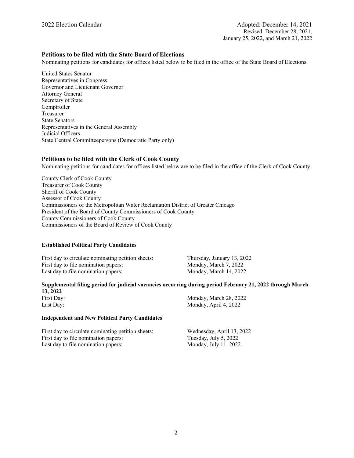### **Petitions to be filed with the State Board of Elections**

Nominating petitions for candidates for offices listed below to be filed in the office of the State Board of Elections.

United States Senator Representatives in Congress Governor and Lieutenant Governor Attorney General Secretary of State Comptroller Treasurer State Senators Representatives in the General Assembly Judicial Officers State Central Committeepersons (Democratic Party only)

### **Petitions to be filed with the Clerk of Cook County**

Nominating petitions for candidates for offices listed below are to be filed in the office of the Clerk of Cook County.

County Clerk of Cook County Treasurer of Cook County Sheriff of Cook County Assessor of Cook County Commissioners of the Metropolitan Water Reclamation District of Greater Chicago President of the Board of County Commissioners of Cook County County Commissioners of Cook County Commissioners of the Board of Review of Cook County

### **Established Political Party Candidates**

First day to circulate nominating petition sheets: Thursday, January 13, 2022 First day to file nomination papers: Monday, March 7, 2022 Last day to file nomination papers: Monday, March 14, 2022

#### **Supplemental filing period for judicial vacancies occurring during period February 21, 2022 through March 13, 2022**

First Day: Monday, March 28, 2022 Last Day: Monday, April 4, 2022

### **Independent and New Political Party Candidates**

First day to circulate nominating petition sheets: Wednesday, April 13, 2022 First day to file nomination papers: Tuesday, July 5, 2022 Last day to file nomination papers: Monday, July 11, 2022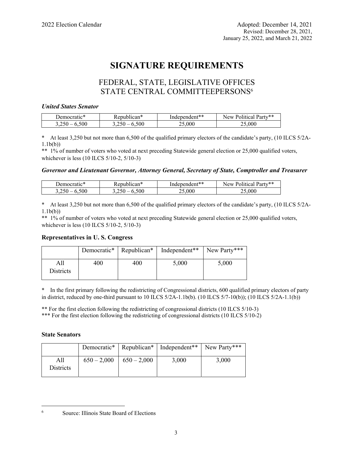# **SIGNATURE REQUIREMENTS**

# FEDERAL, STATE, LEGISLATIVE OFFICES STATE CENTRAL COMMITTEEPERSONS<sup>6</sup>

### *United States Senator*

| ---<br>Democratic* | 1can↑<br>. enuk | Independent** | Party**<br>Political<br>New |
|--------------------|-----------------|---------------|-----------------------------|
| 500                | 500             | 000           | 000                         |

At least 3,250 but not more than 6,500 of the qualified primary electors of the candidate's party, (10 ILCS 5/2A-1.1b(b))

\*\* 1% of number of voters who voted at next preceding Statewide general election or 25,000 qualified voters, whichever is less (10 ILCS 5/10-2, 5/10-3)

### *Governor and Lieutenant Governor, Attorney General, Secretary of State, Comptroller and Treasurer*

| -1-<br>emocratic* | epublican* | Independent** | . Party**<br>New<br>Political |
|-------------------|------------|---------------|-------------------------------|
| 500<br>ں رے د     | 500<br>$-$ | .000          | .000                          |

\* At least 3,250 but not more than 6,500 of the qualified primary electors of the candidate's party, (10 ILCS 5/2A-1.1b(b))

\*\* 1% of number of voters who voted at next preceding Statewide general election or 25,000 qualified voters, whichever is less (10 ILCS 5/10-2, 5/10-3)

### **Representatives in U. S. Congress**

|                  |     | Democratic*   Republican* | Independent <sup>**</sup> New Party <sup>***</sup> |       |
|------------------|-----|---------------------------|----------------------------------------------------|-------|
| <b>Districts</b> | 400 | 400                       | 5,000                                              | 5,000 |

\* In the first primary following the redistricting of Congressional districts, 600 qualified primary electors of party in district, reduced by one-third pursuant to 10 ILCS  $5/2A-1.1b(b)$ . (10 ILCS  $5/7-10(b)$ ); (10 ILCS  $5/2A-1.1(b)$ )

\*\* For the first election following the redistricting of congressional districts (10 ILCS 5/10-3)

\*\*\* For the first election following the redistricting of congressional districts (10 ILCS 5/10-2)

### **State Senators**

|                         |               |               | Democratic*   Republican*   Independent**   New Party*** |       |
|-------------------------|---------------|---------------|----------------------------------------------------------|-------|
| All<br><b>Districts</b> | $650 - 2,000$ | $650 - 2,000$ | 3,000                                                    | 3,000 |

i<br>Li

<sup>6</sup> Source: Illinois State Board of Elections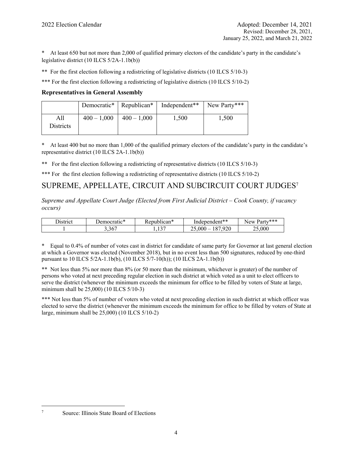\* At least 650 but not more than 2,000 of qualified primary electors of the candidate's party in the candidate's legislative district (10 ILCS 5/2A-1.1b(b))

\*\* For the first election following a redistricting of legislative districts (10 ILCS 5/10-3)

\*\*\* For the first election following a redistricting of legislative districts (10 ILCS 5/10-2)

### **Representatives in General Assembly**

|                  |                 |                | Democratic*   Republican*   Independent** | New Party*** |
|------------------|-----------------|----------------|-------------------------------------------|--------------|
| All<br>Districts | $400 - 1{,}000$ | $1400 - 1,000$ | 1,500                                     | 1,500        |

\* At least 400 but no more than 1,000 of the qualified primary electors of the candidate's party in the candidate's representative district (10 ILCS 2A-1.1b(b))

\*\* For the first election following a redistricting of representative districts (10 ILCS 5/10-3)

\*\*\* For the first election following a redistricting of representative districts (10 ILCS 5/10-2)

# SUPREME, APPELLATE, CIRCUIT AND SUBCIRCUIT COURT JUDGES7

*Supreme and Appellate Court Judge (Elected from First Judicial District – Cook County, if vacancy occurs)* 

| $\overline{\phantom{a}}$<br>hstrict | $\mathbf{A}$<br>Democratic* | . <epublican*< th=""><th>Independent**</th><th>. Party***<br/>New</th></epublican*<> | Independent**                   | . Party***<br>New |
|-------------------------------------|-----------------------------|--------------------------------------------------------------------------------------|---------------------------------|-------------------|
|                                     | 3,367                       | $\sim$ $\sim$<br>.                                                                   | 920<br>07<br>000<br>$\sim$<br>_ | .000<br>ጎድ        |

\* Equal to 0.4% of number of votes cast in district for candidate of same party for Governor at last general election at which a Governor was elected (November 2018), but in no event less than 500 signatures, reduced by one-third pursuant to 10 ILCS 5/2A-1.1b(b), (10 ILCS 5/7-10(h)); (10 ILCS 2A-1.1b(b))

\*\* Not less than 5% nor more than 8% (or 50 more than the minimum, whichever is greater) of the number of persons who voted at next preceding regular election in such district at which voted as a unit to elect officers to serve the district (whenever the minimum exceeds the minimum for office to be filled by voters of State at large, minimum shall be 25,000) (10 ILCS 5/10-3)

\*\*\* Not less than 5% of number of voters who voted at next preceding election in such district at which officer was elected to serve the district (whenever the minimum exceeds the minimum for office to be filled by voters of State at large, minimum shall be 25,000) (10 ILCS 5/10-2)

i<br>Li 7

Source: Illinois State Board of Elections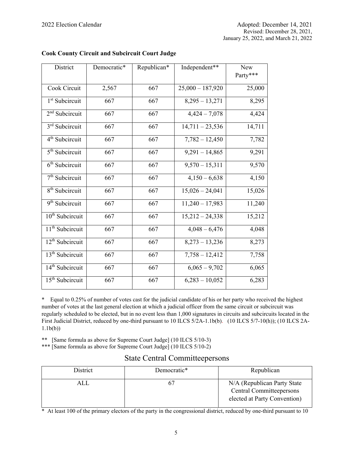| District                    | Democratic* | Republican* | Independent**      | New<br>Party*** |
|-----------------------------|-------------|-------------|--------------------|-----------------|
| Cook Circuit                | 2,567       | 667         | $25,000 - 187,920$ | 25,000          |
| 1 <sup>st</sup> Subcircuit  | 667         | 667         | $8,295 - 13,271$   | 8,295           |
| $2nd$ Subcircuit            | 667         | 667         | $4,424 - 7,078$    | 4,424           |
| 3 <sup>rd</sup> Subcircuit  | 667         | 667         | $14,711 - 23,536$  | 14,711          |
| 4 <sup>th</sup> Subcircuit  | 667         | 667         | $7,782 - 12,450$   | 7,782           |
| 5 <sup>th</sup> Subcircuit  | 667         | 667         | $9,291 - 14,865$   | 9,291           |
| $6th$ Subcircuit            | 667         | 667         | $9,570 - 15,311$   | 9,570           |
| $7th$ Subcircuit            | 667         | 667         | $4,150 - 6,638$    | 4,150           |
| 8 <sup>th</sup> Subcircuit  | 667         | 667         | $15,026 - 24,041$  | 15,026          |
| 9 <sup>th</sup> Subcircuit  | 667         | 667         | $11,240 - 17,983$  | 11,240          |
| 10 <sup>th</sup> Subcircuit | 667         | 667         | $15,212 - 24,338$  | 15,212          |
| 11 <sup>th</sup> Subcircuit | 667         | 667         | $4,048 - 6,476$    | 4,048           |
| 12 <sup>th</sup> Subcircuit | 667         | 667         | $8,273 - 13,236$   | 8,273           |
| 13 <sup>th</sup> Subcircuit | 667         | 667         | $7,758 - 12,412$   | 7,758           |
| 14 <sup>th</sup> Subcircuit | 667         | 667         | $6,065 - 9,702$    | 6,065           |
| 15 <sup>th</sup> Subcircuit | 667         | 667         | $6,283 - 10,052$   | 6,283           |

# **Cook County Circuit and Subcircuit Court Judge**

\* Equal to 0.25% of number of votes cast for the judicial candidate of his or her party who received the highest number of votes at the last general election at which a judicial officer from the same circuit or subcircuit was regularly scheduled to be elected, but in no event less than 1,000 signatures in circuits and subcircuits located in the First Judicial District, reduced by one-third pursuant to 10 ILCS 5/2A-1.1b(b). (10 ILCS 5/7-10(h)); (10 ILCS 2A- $1.1b(b)$ 

\*\* [Same formula as above for Supreme Court Judge] (10 ILCS 5/10-3)

\*\*\* [Same formula as above for Supreme Court Judge] (10 ILCS 5/10-2)

| <b>State Central Committeepersons</b> |  |  |
|---------------------------------------|--|--|
|---------------------------------------|--|--|

| District | Democratic* | Republican                                                                               |
|----------|-------------|------------------------------------------------------------------------------------------|
| ALL      |             | N/A (Republican Party State)<br>Central Committeepersons<br>elected at Party Convention) |

\* At least 100 of the primary electors of the party in the congressional district, reduced by one-third pursuant to 10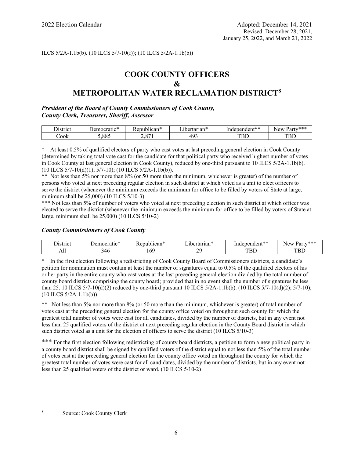### ILCS 5/2A-1.1b(b). (10 ILCS 5/7-10(f)); (10 ILCS 5/2A-1.1b(b))

# **COOK COUNTY OFFICERS & METROPOLITAN WATER RECLAMATION DISTRICT<sup>8</sup>**

### *President of the Board of County Commissioners of Cook County, County Clerk, Treasurer, Sheriff, Assessor*

| 11strici  | $-1$<br>10 ጥ<br>$-2m$ $\alpha$ ron.<br>nocranc | <u>່ດດທ່າ</u><br>m.<br>uca. | -<br>tarıan^<br>$\sim$ 441<br>ı<br>n t<br>ты. | mdent**<br>$\sim$<br>nae<br>:n | $\sim$ Party***<br>$\sim w$<br>N,<br>`ai t |
|-----------|------------------------------------------------|-----------------------------|-----------------------------------------------|--------------------------------|--------------------------------------------|
| -<br>∕ook | 00r<br>$\sim$<br>$\cdot \circ \cdot$           | O <sub>7</sub>              | $\cdots$<br><u>.</u>                          | ——<br>பட                       | mr<br>ᅭ                                    |

At least 0.5% of qualified electors of party who cast votes at last preceding general election in Cook County (determined by taking total vote cast for the candidate for that political party who received highest number of votes in Cook County at last general election in Cook County), reduced by one-third pursuant to 10 ILCS 5/2A-1.1b(b). (10 ILCS 5/7-10(d)(1); 5/7-10); (10 ILCS 5/2A-1.1b(b)).

\*\* Not less than 5% nor more than 8% (or 50 more than the minimum, whichever is greater) of the number of persons who voted at next preceding regular election in such district at which voted as a unit to elect officers to serve the district (whenever the minimum exceeds the minimum for office to be filled by voters of State at large, minimum shall be 25,000) (10 ILCS 5/10-3)

\*\*\* Not less than 5% of number of voters who voted at next preceding election in such district at which officer was elected to serve the district (whenever the minimum exceeds the minimum for office to be filled by voters of State at large, minimum shall be 25,000) (10 ILCS 5/10-2)

### *County Commissioners of Cook County*

| hetriot<br>IV | - 14<br>$\sim$ $\sim$ $\sim$ $\sim$ $\sim$<br>71<br>ralı | $\sim$<br>0.01<br>' י<br>'Cal | 0.01000<br>-iai | مله مله .<br>$\mu$ ndent $\gamma$<br>$\mathbf{H}^{\mathbf{a}}$<br>$\sim$ | الملموات والمراكب<br>New<br>.<br>. Par*<br>-ai<br>$\sim$ |
|---------------|----------------------------------------------------------|-------------------------------|-----------------|--------------------------------------------------------------------------|----------------------------------------------------------|
| 1 M.I         |                                                          | 102                           | ״<br>-          | ΩD                                                                       | ∽<br>∽<br>ᅩ                                              |

\* In the first election following a redistricting of Cook County Board of Commissioners districts, a candidate's petition for nomination must contain at least the number of signatures equal to 0.5% of the qualified electors of his or her party in the entire county who cast votes at the last preceding general election divided by the total number of county board districts comprising the county board; provided that in no event shall the number of signatures be less than 25. 10 ILCS 5/7-10(d)(2) reduced by one-third pursuant 10 ILCS 5/2A-1.1b(b). (10 ILCS 5/7-10(d)(2); 5/7-10); (10 ILCS 5/2A-1.1b(b))

\*\* Not less than 5% nor more than 8% (or 50 more than the minimum, whichever is greater) of total number of votes cast at the preceding general election for the county office voted on throughout such county for which the greatest total number of votes were cast for all candidates, divided by the number of districts, but in any event not less than 25 qualified voters of the district at next preceding regular election in the County Board district in which such district voted as a unit for the election of officers to serve the district (10 ILCS 5/10-3)

For the first election following redistricting of county board districts, a petition to form a new political party in a county board district shall be signed by qualified voters of the district equal to not less than 5% of the total number of votes cast at the preceding general election for the county office voted on throughout the county for which the greatest total number of votes were cast for all candidates, divided by the number of districts, but in any event not less than 25 qualified voters of the district or ward. (10 ILCS 5/10-2)

i<br>Li 8 Source: Cook County Clerk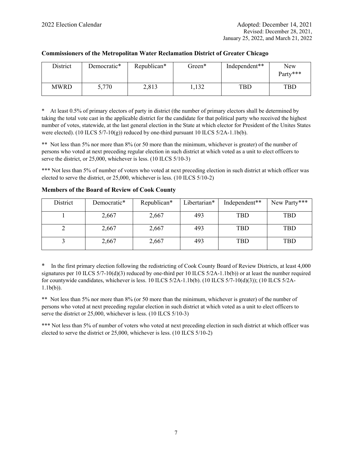| District | Democratic* | Republican* | Green* | Independent** | New<br>Party*** |
|----------|-------------|-------------|--------|---------------|-----------------|
| MWRD     | 5,770       | 2,813       | 1,132  | <b>TBD</b>    | <b>TBD</b>      |

### **Commissioners of the Metropolitan Water Reclamation District of Greater Chicago**

\* At least 0.5% of primary electors of party in district (the number of primary electors shall be determined by taking the total vote cast in the applicable district for the candidate for that political party who received the highest number of votes, statewide, at the last general election in the State at which elector for President of the Unites States were elected). (10 ILCS  $5/7-10(g)$ ) reduced by one-third pursuant 10 ILCS  $5/2A-1.1b(b)$ .

\*\* Not less than 5% nor more than 8% (or 50 more than the minimum, whichever is greater) of the number of persons who voted at next preceding regular election in such district at which voted as a unit to elect officers to serve the district, or 25,000, whichever is less. (10 ILCS 5/10-3)

\*\*\* Not less than 5% of number of voters who voted at next preceding election in such district at which officer was elected to serve the district, or 25,000, whichever is less. (10 ILCS 5/10-2)

| District | Democratic* | Republican* | Libertarian* | Independent** | New Party*** |
|----------|-------------|-------------|--------------|---------------|--------------|
|          | 2,667       | 2,667       | 493          | TBD           | <b>TBD</b>   |
|          | 2,667       | 2,667       | 493          | <b>TBD</b>    | <b>TBD</b>   |
|          | 2,667       | 2,667       | 493          | <b>TBD</b>    | <b>TBD</b>   |

### **Members of the Board of Review of Cook County**

\* In the first primary election following the redistricting of Cook County Board of Review Districts, at least 4,000 signatures per 10 ILCS  $5/7-10(d)(3)$  reduced by one-third per 10 ILCS  $5/2A-1.1b(b)$ ) or at least the number required for countywide candidates, whichever is less. 10 ILCS  $5/2A-1.1b(b)$ . (10 ILCS  $5/7-10(d)(3)$ ); (10 ILCS  $5/2A-1.1b(b)$ 1.1b(b)).

\*\* Not less than 5% nor more than 8% (or 50 more than the minimum, whichever is greater) of the number of persons who voted at next preceding regular election in such district at which voted as a unit to elect officers to serve the district or 25,000, whichever is less. (10 ILCS 5/10-3)

\*\*\* Not less than 5% of number of voters who voted at next preceding election in such district at which officer was elected to serve the district or 25,000, whichever is less. (10 ILCS 5/10-2)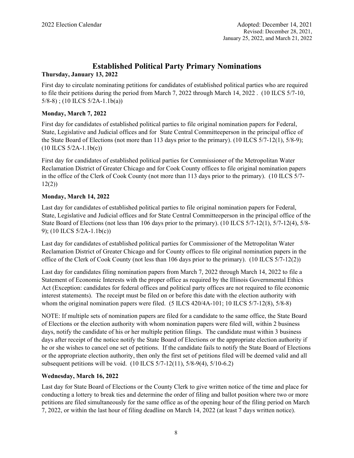# **Established Political Party Primary Nominations**

# **Thursday, January 13, 2022**

First day to circulate nominating petitions for candidates of established political parties who are required to file their petitions during the period from March 7, 2022 through March 14, 2022 . (10 ILCS 5/7-10, 5/8-8) ; (10 ILCS 5/2A-1.1b(a))

# **Monday, March 7, 2022**

First day for candidates of established political parties to file original nomination papers for Federal, State, Legislative and Judicial offices and for State Central Committeeperson in the principal office of the State Board of Elections (not more than 113 days prior to the primary). (10 ILCS 5/7-12(1), 5/8-9); (10 ILCS 5/2A-1.1b(c))

First day for candidates of established political parties for Commissioner of the Metropolitan Water Reclamation District of Greater Chicago and for Cook County offices to file original nomination papers in the office of the Clerk of Cook County (not more than 113 days prior to the primary). (10 ILCS 5/7- 12(2))

# **Monday, March 14, 2022**

Last day for candidates of established political parties to file original nomination papers for Federal, State, Legislative and Judicial offices and for State Central Committeeperson in the principal office of the State Board of Elections (not less than 106 days prior to the primary). (10 ILCS 5/7-12(1), 5/7-12(4), 5/8- 9); (10 ILCS 5/2A-1.1b(c))

Last day for candidates of established political parties for Commissioner of the Metropolitan Water Reclamation District of Greater Chicago and for County offices to file original nomination papers in the office of the Clerk of Cook County (not less than 106 days prior to the primary). (10 ILCS 5/7-12(2))

Last day for candidates filing nomination papers from March 7, 2022 through March 14, 2022 to file a Statement of Economic Interests with the proper office as required by the Illinois Governmental Ethics Act (Exception: candidates for federal offices and political party offices are not required to file economic interest statements). The receipt must be filed on or before this date with the election authority with whom the original nomination papers were filed. (5 ILCS 420/4A-101; 10 ILCS 5/7-12(8), 5/8-8)

NOTE: If multiple sets of nomination papers are filed for a candidate to the same office, the State Board of Elections or the election authority with whom nomination papers were filed will, within 2 business days, notify the candidate of his or her multiple petition filings. The candidate must within 3 business days after receipt of the notice notify the State Board of Elections or the appropriate election authority if he or she wishes to cancel one set of petitions. If the candidate fails to notify the State Board of Elections or the appropriate election authority, then only the first set of petitions filed will be deemed valid and all subsequent petitions will be void. (10 ILCS 5/7-12(11), 5/8-9(4), 5/10-6.2)

# **Wednesday, March 16, 2022**

Last day for State Board of Elections or the County Clerk to give written notice of the time and place for conducting a lottery to break ties and determine the order of filing and ballot position where two or more petitions are filed simultaneously for the same office as of the opening hour of the filing period on March 7, 2022, or within the last hour of filing deadline on March 14, 2022 (at least 7 days written notice).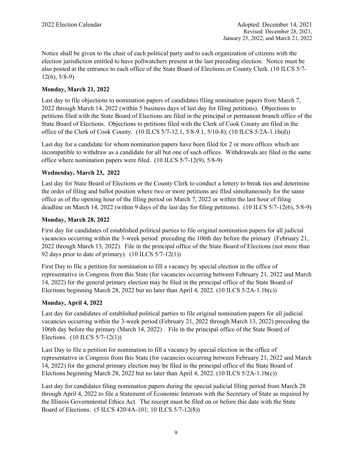Notice shall be given to the chair of each political party and to each organization of citizens with the election jurisdiction entitled to have pollwatchers present at the last preceding election. Notice must be also posted at the entrance to each office of the State Board of Elections or County Clerk. (10 ILCS 5/7- 12(6), 5/8-9)

# **Monday, March 21, 2022**

Last day to file objections to nomination papers of candidates filing nomination papers from March 7, 2022 through March 14, 2022 (within 5 business days of last day for filing petitions). Objections to petitions filed with the State Board of Elections are filed in the principal or permanent branch office of the State Board of Elections. Objections to petitions filed with the Clerk of Cook County are filed in the office of the Clerk of Cook County. (10 ILCS 5/7-12.1, 5/8-9.1, 5/10-8); (10 ILCS 5/2A-1.1b(d))

Last day for a candidate for whom nomination papers have been filed for 2 or more offices which are incompatible to withdraw as a candidate for all but one of such offices. Withdrawals are filed in the same office where nomination papers were filed. (10 ILCS 5/7-12(9), 5/8-9)

### **Wednesday, March 23, 2022**

Last day for State Board of Elections or the County Clerk to conduct a lottery to break ties and determine the order of filing and ballot position where two or more petitions are filed simultaneously for the same office as of the opening hour of the filing period on March 7, 2022 or within the last hour of filing deadline on March 14, 2022 (within 9 days of the last day for filing petitions). (10 ILCS 5/7-12(6), 5/8-9)

# **Monday, March 28, 2022**

First day for candidates of established political parties to file original nomination papers for all judicial vacancies occurring within the 3-week period preceding the 106th day before the primary (February 21, 2022 through March 13, 2022). File in the principal office of the State Board of Elections (not more than 92 days prior to date of primary).  $(10$  ILCS  $5/7-12(1))$ 

First Day to file a petition for nomination to fill a vacancy by special election in the office of representative in Congress from this State (for vacancies occurring between February 21, 2022 and March 14, 2022) for the general primary election may be filed in the principal office of the State Board of Elections beginning March 28, 2022 but no later than April 4, 2022. (10 ILCS 5/2A-1.1b(c))

### **Monday, April 4, 2022**

Last day for candidates of established political parties to file original nomination papers for all judicial vacancies occurring within the 3-week period (February 21, 2022 through March 13, 2022) preceding the 106th day before the primary (March 14, 2022) . File in the principal office of the State Board of Elections. (10 ILCS 5/7-12(1))

Last Day to file a petition for nomination to fill a vacancy by special election in the office of representative in Congress from this State (for vacancies occurring between February 21, 2022 and March 14, 2022) for the general primary election may be filed in the principal office of the State Board of Elections beginning March 28, 2022 but no later than April 4, 2022. (10 ILCS 5/2A-1.1b(c))

Last day for candidates filing nomination papers during the special judicial filing period from March 28 through April 4, 2022 to file a Statement of Economic Interests with the Secretary of State as required by the Illinois Governmental Ethics Act. The receipt must be filed on or before this date with the State Board of Elections. (5 ILCS 420/4A-101; 10 ILCS 5/7-12(8))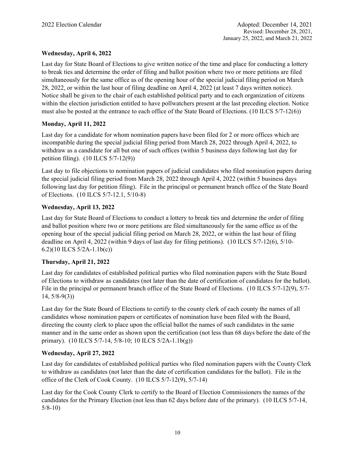# **Wednesday, April 6, 2022**

Last day for State Board of Elections to give written notice of the time and place for conducting a lottery to break ties and determine the order of filing and ballot position where two or more petitions are filed simultaneously for the same office as of the opening hour of the special judicial filing period on March 28, 2022, or within the last hour of filing deadline on April 4, 2022 (at least 7 days written notice). Notice shall be given to the chair of each established political party and to each organization of citizens within the election jurisdiction entitled to have pollwatchers present at the last preceding election. Notice must also be posted at the entrance to each office of the State Board of Elections. (10 ILCS 5/7-12(6))

# **Monday, April 11, 2022**

Last day for a candidate for whom nomination papers have been filed for 2 or more offices which are incompatible during the special judicial filing period from March 28, 2022 through April 4, 2022, to withdraw as a candidate for all but one of such offices (within 5 business days following last day for petition filing). (10 ILCS 5/7-12(9))

Last day to file objections to nomination papers of judicial candidates who filed nomination papers during the special judicial filing period from March 28, 2022 through April 4, 2022 (within 5 business days following last day for petition filing). File in the principal or permanent branch office of the State Board of Elections. (10 ILCS 5/7-12.1, 5/10-8)

# **Wednesday, April 13, 2022**

Last day for State Board of Elections to conduct a lottery to break ties and determine the order of filing and ballot position where two or more petitions are filed simultaneously for the same office as of the opening hour of the special judicial filing period on March 28, 2022, or within the last hour of filing deadline on April 4, 2022 (within 9 days of last day for filing petitions). (10 ILCS 5/7-12(6), 5/10- 6.2)(10 ILCS 5/2A-1.1b(c))

### **Thursday, April 21, 2022**

Last day for candidates of established political parties who filed nomination papers with the State Board of Elections to withdraw as candidates (not later than the date of certification of candidates for the ballot). File in the principal or permanent branch office of the State Board of Elections. (10 ILCS 5/7-12(9), 5/7-14, 5/8-9(3))

Last day for the State Board of Elections to certify to the county clerk of each county the names of all candidates whose nomination papers or certificates of nomination have been filed with the Board, directing the county clerk to place upon the official ballot the names of such candidates in the same manner and in the same order as shown upon the certification (not less than 68 days before the date of the primary). (10 ILCS 5/7-14, 5/8-10; 10 ILCS 5/2A-1.1b(g))

### **Wednesday, April 27, 2022**

Last day for candidates of established political parties who filed nomination papers with the County Clerk to withdraw as candidates (not later than the date of certification candidates for the ballot). File in the office of the Clerk of Cook County. (10 ILCS 5/7-12(9), 5/7-14)

Last day for the Cook County Clerk to certify to the Board of Election Commissioners the names of the candidates for the Primary Election (not less than 62 days before date of the primary). (10 ILCS 5/7-14, 5/8-10)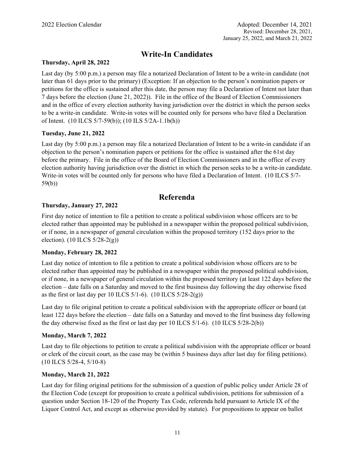# **Write-In Candidates**

### **Thursday, April 28, 2022**

Last day (by 5:00 p.m.) a person may file a notarized Declaration of Intent to be a write-in candidate (not later than 61 days prior to the primary) (Exception: If an objection to the person's nomination papers or petitions for the office is sustained after this date, the person may file a Declaration of Intent not later than 7 days before the election (June 21, 2022)). File in the office of the Board of Election Commissioners and in the office of every election authority having jurisdiction over the district in which the person seeks to be a write-in candidate. Write-in votes will be counted only for persons who have filed a Declaration of Intent. (10 ILCS 5/7-59(b)); (10 ILS 5/2A-1.1b(h))

# **Tuesday, June 21, 2022**

Last day (by 5:00 p.m.) a person may file a notarized Declaration of Intent to be a write-in candidate if an objection to the person's nomination papers or petitions for the office is sustained after the 61st day before the primary. File in the office of the Board of Election Commissioners and in the office of every election authority having jurisdiction over the district in which the person seeks to be a write-in candidate. Write-in votes will be counted only for persons who have filed a Declaration of Intent. (10 ILCS 5/7- 59(b))

# **Referenda**

# **Thursday, January 27, 2022**

First day notice of intention to file a petition to create a political subdivision whose officers are to be elected rather than appointed may be published in a newspaper within the proposed political subdivision, or if none, in a newspaper of general circulation within the proposed territory (152 days prior to the election). (10 ILCS 5/28-2(g))

### **Monday, February 28, 2022**

Last day notice of intention to file a petition to create a political subdivision whose officers are to be elected rather than appointed may be published in a newspaper within the proposed political subdivision, or if none, in a newspaper of general circulation within the proposed territory (at least 122 days before the election – date falls on a Saturday and moved to the first business day following the day otherwise fixed as the first or last day per 10 ILCS  $5/1-6$ ). (10 ILCS  $5/28-2(g)$ )

Last day to file original petition to create a political subdivision with the appropriate officer or board (at least 122 days before the election – date falls on a Saturday and moved to the first business day following the day otherwise fixed as the first or last day per 10 ILCS 5/1-6). (10 ILCS 5/28-2(b))

# **Monday, March 7, 2022**

Last day to file objections to petition to create a political subdivision with the appropriate officer or board or clerk of the circuit court, as the case may be (within 5 business days after last day for filing petitions). (10 ILCS 5/28-4, 5/10-8)

### **Monday, March 21, 2022**

Last day for filing original petitions for the submission of a question of public policy under Article 28 of the Election Code (except for proposition to create a political subdivision, petitions for submission of a question under Section 18-120 of the Property Tax Code, referenda held pursuant to Article IX of the Liquor Control Act, and except as otherwise provided by statute). For propositions to appear on ballot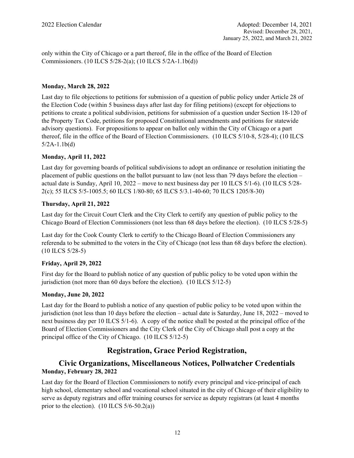only within the City of Chicago or a part thereof, file in the office of the Board of Election Commissioners. (10 ILCS 5/28-2(a); (10 ILCS 5/2A-1.1b(d))

# **Monday, March 28, 2022**

Last day to file objections to petitions for submission of a question of public policy under Article 28 of the Election Code (within 5 business days after last day for filing petitions) (except for objections to petitions to create a political subdivision, petitions for submission of a question under Section 18-120 of the Property Tax Code, petitions for proposed Constitutional amendments and petitions for statewide advisory questions). For propositions to appear on ballot only within the City of Chicago or a part thereof, file in the office of the Board of Election Commissioners. (10 ILCS 5/10-8, 5/28-4); (10 ILCS 5/2A-1.1b(d)

# **Monday, April 11, 2022**

Last day for governing boards of political subdivisions to adopt an ordinance or resolution initiating the placement of public questions on the ballot pursuant to law (not less than 79 days before the election – actual date is Sunday, April 10, 2022 – move to next business day per 10 ILCS 5/1-6). (10 ILCS 5/28- 2(c); 55 ILCS 5/5-1005.5; 60 ILCS 1/80-80; 65 ILCS 5/3.1-40-60; 70 ILCS 1205/8-30)

# **Thursday, April 21, 2022**

Last day for the Circuit Court Clerk and the City Clerk to certify any question of public policy to the Chicago Board of Election Commissioners (not less than 68 days before the election). (10 ILCS 5/28-5)

Last day for the Cook County Clerk to certify to the Chicago Board of Election Commissioners any referenda to be submitted to the voters in the City of Chicago (not less than 68 days before the election). (10 ILCS 5/28-5)

# **Friday, April 29, 2022**

First day for the Board to publish notice of any question of public policy to be voted upon within the jurisdiction (not more than 60 days before the election). (10 ILCS 5/12-5)

# **Monday, June 20, 2022**

Last day for the Board to publish a notice of any question of public policy to be voted upon within the jurisdiction (not less than 10 days before the election – actual date is Saturday, June 18, 2022 – moved to next business day per 10 ILCS 5/1-6). A copy of the notice shall be posted at the principal office of the Board of Election Commissioners and the City Clerk of the City of Chicago shall post a copy at the principal office of the City of Chicago. (10 ILCS 5/12-5)

# **Registration, Grace Period Registration,**

# **Civic Organizations, Miscellaneous Notices, Pollwatcher Credentials Monday, February 28, 2022**

Last day for the Board of Election Commissioners to notify every principal and vice-principal of each high school, elementary school and vocational school situated in the city of Chicago of their eligibility to serve as deputy registrars and offer training courses for service as deputy registrars (at least 4 months prior to the election).  $(10$  ILCS  $5/6-50.2(a)$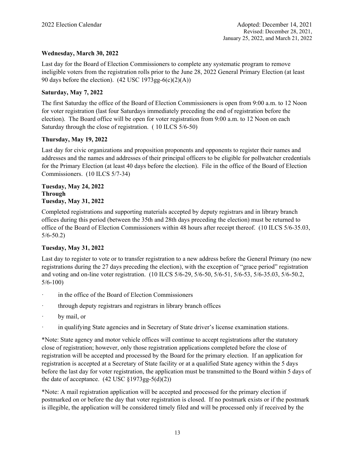# **Wednesday, March 30, 2022**

Last day for the Board of Election Commissioners to complete any systematic program to remove ineligible voters from the registration rolls prior to the June 28, 2022 General Primary Election (at least 90 days before the election).  $(42 \text{ USC } 1973 \text{ gg-}6(c)(2)(A))$ 

# **Saturday, May 7, 2022**

The first Saturday the office of the Board of Election Commissioners is open from 9:00 a.m. to 12 Noon for voter registration (last four Saturdays immediately preceding the end of registration before the election). The Board office will be open for voter registration from 9:00 a.m. to 12 Noon on each Saturday through the close of registration. ( 10 ILCS 5/6-50)

### **Thursday, May 19, 2022**

Last day for civic organizations and proposition proponents and opponents to register their names and addresses and the names and addresses of their principal officers to be eligible for pollwatcher credentials for the Primary Election (at least 40 days before the election). File in the office of the Board of Election Commissioners. (10 ILCS 5/7-34)

### **Tuesday, May 24, 2022 Through Tuesday, May 31, 2022**

Completed registrations and supporting materials accepted by deputy registrars and in library branch offices during this period (between the 35th and 28th days preceding the election) must be returned to office of the Board of Election Commissioners within 48 hours after receipt thereof. (10 ILCS 5/6-35.03, 5/6-50.2)

# **Tuesday, May 31, 2022**

Last day to register to vote or to transfer registration to a new address before the General Primary (no new registrations during the 27 days preceding the election), with the exception of "grace period" registration and voting and on-line voter registration. (10 ILCS 5/6-29, 5/6-50, 5/6-51, 5/6-53, 5/6-35.03, 5/6-50.2, 5/6-100)

- ꞏ in the office of the Board of Election Commissioners
- ꞏ through deputy registrars and registrars in library branch offices
- $\cdot$  by mail, or
- in qualifying State agencies and in Secretary of State driver's license examination stations.

\*Note: State agency and motor vehicle offices will continue to accept registrations after the statutory close of registration; however, only those registration applications completed before the close of registration will be accepted and processed by the Board for the primary election. If an application for registration is accepted at a Secretary of State facility or at a qualified State agency within the 5 days before the last day for voter registration, the application must be transmitted to the Board within 5 days of the date of acceptance.  $(42 \text{ USC } \{1973 \text{ gg} - 5(d)(2))$ 

\*Note: A mail registration application will be accepted and processed for the primary election if postmarked on or before the day that voter registration is closed. If no postmark exists or if the postmark is illegible, the application will be considered timely filed and will be processed only if received by the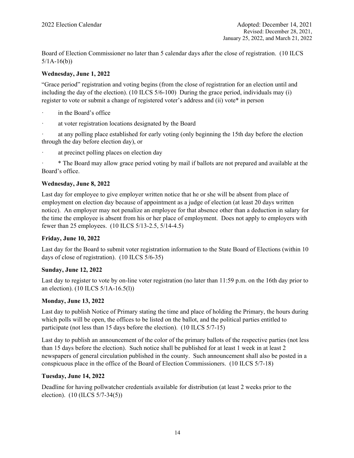Board of Election Commissioner no later than 5 calendar days after the close of registration. (10 ILCS  $5/1A-16(b)$ 

### **Wednesday, June 1, 2022**

"Grace period" registration and voting begins (from the close of registration for an election until and including the day of the election). (10 ILCS 5/6-100) During the grace period, individuals may (i) register to vote or submit a change of registered voter's address and (ii) vote\* in person

- in the Board's office
- ꞏ at voter registration locations designated by the Board

at any polling place established for early voting (only beginning the 15th day before the election through the day before election day), or

ꞏ at precinct polling places on election day

ꞏ \* The Board may allow grace period voting by mail if ballots are not prepared and available at the Board's office.

# **Wednesday, June 8, 2022**

Last day for employee to give employer written notice that he or she will be absent from place of employment on election day because of appointment as a judge of election (at least 20 days written notice). An employer may not penalize an employee for that absence other than a deduction in salary for the time the employee is absent from his or her place of employment. Does not apply to employers with fewer than 25 employees. (10 ILCS 5/13-2.5, 5/14-4.5)

# **Friday, June 10, 2022**

Last day for the Board to submit voter registration information to the State Board of Elections (within 10 days of close of registration). (10 ILCS 5/6-35)

### **Sunday, June 12, 2022**

Last day to register to vote by on-line voter registration (no later than 11:59 p.m. on the 16th day prior to an election). (10 ILCS 5/1A-16.5(l))

# **Monday, June 13, 2022**

Last day to publish Notice of Primary stating the time and place of holding the Primary, the hours during which polls will be open, the offices to be listed on the ballot, and the political parties entitled to participate (not less than 15 days before the election). (10 ILCS 5/7-15)

Last day to publish an announcement of the color of the primary ballots of the respective parties (not less than 15 days before the election). Such notice shall be published for at least 1 week in at least 2 newspapers of general circulation published in the county. Such announcement shall also be posted in a conspicuous place in the office of the Board of Election Commissioners. (10 ILCS 5/7-18)

### **Tuesday, June 14, 2022**

Deadline for having pollwatcher credentials available for distribution (at least 2 weeks prior to the election). (10 (ILCS 5/7-34(5))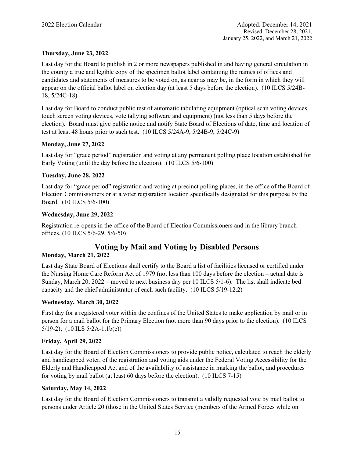# **Thursday, June 23, 2022**

Last day for the Board to publish in 2 or more newspapers published in and having general circulation in the county a true and legible copy of the specimen ballot label containing the names of offices and candidates and statements of measures to be voted on, as near as may be, in the form in which they will appear on the official ballot label on election day (at least 5 days before the election). (10 ILCS 5/24B-18, 5/24C-18)

Last day for Board to conduct public test of automatic tabulating equipment (optical scan voting devices, touch screen voting devices, vote tallying software and equipment) (not less than 5 days before the election). Board must give public notice and notify State Board of Elections of date, time and location of test at least 48 hours prior to such test. (10 ILCS 5/24A-9, 5/24B-9, 5/24C-9)

### **Monday, June 27, 2022**

Last day for "grace period" registration and voting at any permanent polling place location established for Early Voting (until the day before the election). (10 ILCS 5/6-100)

### **Tuesday, June 28, 2022**

Last day for "grace period" registration and voting at precinct polling places, in the office of the Board of Election Commissioners or at a voter registration location specifically designated for this purpose by the Board. (10 ILCS 5/6-100)

### **Wednesday, June 29, 2022**

Registration re-opens in the office of the Board of Election Commissioners and in the library branch offices. (10 ILCS 5/6-29, 5/6-50)

# **Voting by Mail and Voting by Disabled Persons**

### **Monday, March 21, 2022**

Last day State Board of Elections shall certify to the Board a list of facilities licensed or certified under the Nursing Home Care Reform Act of 1979 (not less than 100 days before the election – actual date is Sunday, March 20, 2022 – moved to next business day per 10 ILCS 5/1-6). The list shall indicate bed capacity and the chief administrator of each such facility. (10 ILCS 5/19-12.2)

### **Wednesday, March 30, 2022**

First day for a registered voter within the confines of the United States to make application by mail or in person for a mail ballot for the Primary Election (not more than 90 days prior to the election). (10 ILCS 5/19-2); (10 ILS 5/2A-1.1b(e))

### **Friday, April 29, 2022**

Last day for the Board of Election Commissioners to provide public notice, calculated to reach the elderly and handicapped voter, of the registration and voting aids under the Federal Voting Accessibility for the Elderly and Handicapped Act and of the availability of assistance in marking the ballot, and procedures for voting by mail ballot (at least 60 days before the election). (10 ILCS 7-15)

### **Saturday, May 14, 2022**

Last day for the Board of Election Commissioners to transmit a validly requested vote by mail ballot to persons under Article 20 (those in the United States Service (members of the Armed Forces while on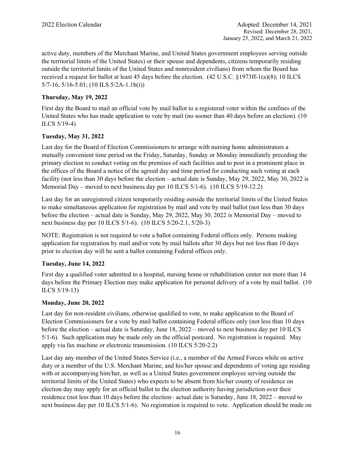active duty, members of the Merchant Marine, and United States government employees serving outside the territorial limits of the United States) or their spouse and dependents, citizens temporarily residing outside the territorial limits of the United States and nonresident civilians) from whom the Board has received a request for ballot at least 45 days before the election. (42 U.S.C. §1973ff-1(a)(8); 10 ILCS 5/7-16, 5/16-5.01; (10 ILS 5/2A-1.1b(i))

# **Thursday, May 19, 2022**

First day the Board to mail an official vote by mail ballot to a registered voter within the confines of the United States who has made application to vote by mail (no sooner than 40 days before an election). (10 ILCS 5/19-4)

### **Tuesday, May 31, 2022**

Last day for the Board of Election Commissioners to arrange with nursing home administrators a mutually convenient time period on the Friday, Saturday, Sunday or Monday immediately preceding the primary election to conduct voting on the premises of such facilities and to post in a prominent place in the offices of the Board a notice of the agreed day and time period for conducting such voting at each facility (not less than 30 days before the election – actual date is Sunday, May 29, 2022, May 30, 2022 is Memorial Day – moved to next business day per 10 ILCS 5/1-6). (10 ILCS 5/19-12.2)

Last day for an unregistered citizen temporarily residing outside the territorial limits of the United States to make simultaneous application for registration by mail and vote by mail ballot (not less than 30 days before the election – actual date is Sunday, May 29, 2022, May 30, 2022 is Memorial Day – moved to next business day per 10 ILCS 5/1-6). (10 ILCS 5/20-2.1, 5/20-3)

NOTE: Registration is not required to vote a ballot containing Federal offices only. Persons making application for registration by mail and/or vote by mail ballots after 30 days but not less than 10 days prior to election day will be sent a ballot containing Federal offices only.

### **Tuesday, June 14, 2022**

First day a qualified voter admitted to a hospital, nursing home or rehabilitation center not more than 14 days before the Primary Election may make application for personal delivery of a vote by mail ballot. (10 ILCS 5/19-13)

### **Monday, June 20, 2022**

Last day for non-resident civilians, otherwise qualified to vote, to make application to the Board of Election Commissioners for a vote by mail ballot containing Federal offices only (not less than 10 days before the election – actual date is Saturday, June 18, 2022 – moved to next business day per 10 ILCS 5/1-6). Such application may be made only on the official postcard. No registration is required. May apply via fax machine or electronic transmission. (10 ILCS 5/20-2.2)

Last day any member of the United States Service (i.e., a member of the Armed Forces while on active duty or a member of the U.S. Merchant Marine, and his/her spouse and dependents of voting age residing with or accompanying him/her, as well as a United States government employee serving outside the territorial limits of the United States) who expects to be absent from his/her county of residence on election day may apply for an official ballot to the election authority having jurisdiction over their residence (not less than 10 days before the election– actual date is Saturday, June 18, 2022 – moved to next business day per 10 ILCS 5/1-6). No registration is required to vote. Application should be made on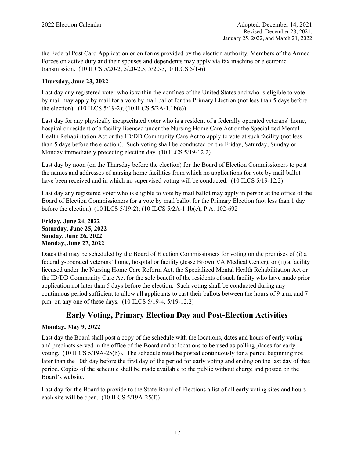the Federal Post Card Application or on forms provided by the election authority. Members of the Armed Forces on active duty and their spouses and dependents may apply via fax machine or electronic transmission. (10 ILCS 5/20-2, 5/20-2.3, 5/20-3,10 ILCS 5/1-6)

# **Thursday, June 23, 2022**

Last day any registered voter who is within the confines of the United States and who is eligible to vote by mail may apply by mail for a vote by mail ballot for the Primary Election (not less than 5 days before the election). (10 ILCS 5/19-2); (10 ILCS 5/2A-1.1b(e))

Last day for any physically incapacitated voter who is a resident of a federally operated veterans' home, hospital or resident of a facility licensed under the Nursing Home Care Act or the Specialized Mental Health Rehabilitation Act or the ID/DD Community Care Act to apply to vote at such facility (not less than 5 days before the election). Such voting shall be conducted on the Friday, Saturday, Sunday or Monday immediately preceding election day. (10 ILCS 5/19-12.2)

Last day by noon (on the Thursday before the election) for the Board of Election Commissioners to post the names and addresses of nursing home facilities from which no applications for vote by mail ballot have been received and in which no supervised voting will be conducted. (10 ILCS 5/19-12.2)

Last day any registered voter who is eligible to vote by mail ballot may apply in person at the office of the Board of Election Commissioners for a vote by mail ballot for the Primary Election (not less than 1 day before the election). (10 ILCS 5/19-2); (10 ILCS 5/2A-1.1b(e); P.A. 102-692

### **Friday, June 24, 2022 Saturday, June 25, 2022 Sunday, June 26, 2022 Monday, June 27, 2022**

Dates that may be scheduled by the Board of Election Commissioners for voting on the premises of (i) a federally-operated veterans' home, hospital or facility (Jesse Brown VA Medical Center), or (ii) a facility licensed under the Nursing Home Care Reform Act, the Specialized Mental Health Rehabilitation Act or the ID/DD Community Care Act for the sole benefit of the residents of such facility who have made prior application not later than 5 days before the election. Such voting shall be conducted during any continuous period sufficient to allow all applicants to cast their ballots between the hours of 9 a.m. and 7 p.m. on any one of these days. (10 ILCS 5/19-4, 5/19-12.2)

# **Early Voting, Primary Election Day and Post-Election Activities**

# **Monday, May 9, 2022**

Last day the Board shall post a copy of the schedule with the locations, dates and hours of early voting and precincts served in the office of the Board and at locations to be used as polling places for early voting. (10 ILCS 5/19A-25(b)). The schedule must be posted continuously for a period beginning not later than the 10th day before the first day of the period for early voting and ending on the last day of that period. Copies of the schedule shall be made available to the public without charge and posted on the Board's website.

Last day for the Board to provide to the State Board of Elections a list of all early voting sites and hours each site will be open. (10 ILCS 5/19A-25(f))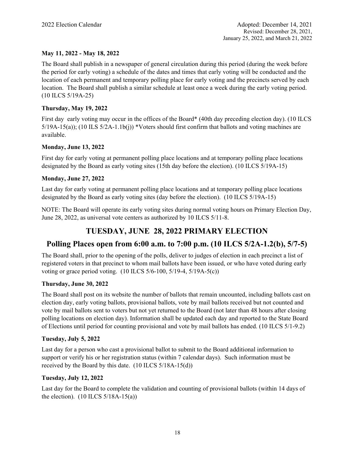# **May 11, 2022 - May 18, 2022**

The Board shall publish in a newspaper of general circulation during this period (during the week before the period for early voting) a schedule of the dates and times that early voting will be conducted and the location of each permanent and temporary polling place for early voting and the precincts served by each location. The Board shall publish a similar schedule at least once a week during the early voting period. (10 ILCS 5/19A-25)

### **Thursday, May 19, 2022**

First day early voting may occur in the offices of the Board\* (40th day preceding election day). (10 ILCS  $5/19A-15(a)$ ; (10 ILS  $5/2A-1.1b(j)$ ) \*Voters should first confirm that ballots and voting machines are available.

### **Monday, June 13, 2022**

First day for early voting at permanent polling place locations and at temporary polling place locations designated by the Board as early voting sites (15th day before the election). (10 ILCS 5/19A-15)

# **Monday, June 27, 2022**

Last day for early voting at permanent polling place locations and at temporary polling place locations designated by the Board as early voting sites (day before the election). (10 ILCS 5/19A-15)

NOTE: The Board will operate its early voting sites during normal voting hours on Primary Election Day, June 28, 2022, as universal vote centers as authorized by 10 ILCS 5/11-8.

# **TUESDAY, JUNE 28, 2022 PRIMARY ELECTION**

# **Polling Places open from 6:00 a.m. to 7:00 p.m. (10 ILCS 5/2A-1.2(b), 5/7-5)**

The Board shall, prior to the opening of the polls, deliver to judges of election in each precinct a list of registered voters in that precinct to whom mail ballots have been issued, or who have voted during early voting or grace period voting. (10 ILCS 5/6-100, 5/19-4, 5/19A-5(c))

### **Thursday, June 30, 2022**

The Board shall post on its website the number of ballots that remain uncounted, including ballots cast on election day, early voting ballots, provisional ballots, vote by mail ballots received but not counted and vote by mail ballots sent to voters but not yet returned to the Board (not later than 48 hours after closing polling locations on election day). Information shall be updated each day and reported to the State Board of Elections until period for counting provisional and vote by mail ballots has ended. (10 ILCS 5/1-9.2)

### **Tuesday, July 5, 2022**

Last day for a person who cast a provisional ballot to submit to the Board additional information to support or verify his or her registration status (within 7 calendar days). Such information must be received by the Board by this date. (10 ILCS 5/18A-15(d))

### **Tuesday, July 12, 2022**

Last day for the Board to complete the validation and counting of provisional ballots (within 14 days of the election).  $(10$  ILCS  $5/18A-15(a)$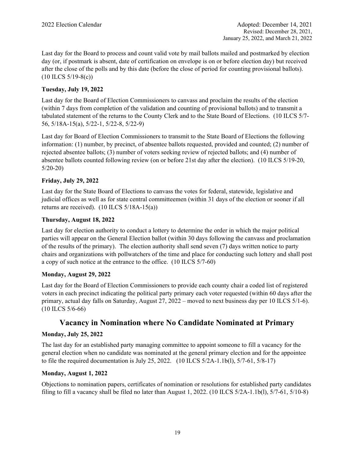Last day for the Board to process and count valid vote by mail ballots mailed and postmarked by election day (or, if postmark is absent, date of certification on envelope is on or before election day) but received after the close of the polls and by this date (before the close of period for counting provisional ballots). (10 ILCS 5/19-8(c))

# **Tuesday, July 19, 2022**

Last day for the Board of Election Commissioners to canvass and proclaim the results of the election (within 7 days from completion of the validation and counting of provisional ballots) and to transmit a tabulated statement of the returns to the County Clerk and to the State Board of Elections. (10 ILCS 5/7- 56, 5/18A-15(a), 5/22-1, 5/22-8, 5/22-9)

Last day for Board of Election Commissioners to transmit to the State Board of Elections the following information: (1) number, by precinct, of absentee ballots requested, provided and counted; (2) number of rejected absentee ballots; (3) number of voters seeking review of rejected ballots; and (4) number of absentee ballots counted following review (on or before 21st day after the election). (10 ILCS 5/19-20, 5/20-20)

### **Friday, July 29, 2022**

Last day for the State Board of Elections to canvass the votes for federal, statewide, legislative and judicial offices as well as for state central committeemen (within 31 days of the election or sooner if all returns are received). (10 ILCS 5/18A-15(a))

### **Thursday, August 18, 2022**

Last day for election authority to conduct a lottery to determine the order in which the major political parties will appear on the General Election ballot (within 30 days following the canvass and proclamation of the results of the primary). The election authority shall send seven (7) days written notice to party chairs and organizations with pollwatchers of the time and place for conducting such lottery and shall post a copy of such notice at the entrance to the office. (10 ILCS 5/7-60)

### **Monday, August 29, 2022**

Last day for the Board of Election Commissioners to provide each county chair a coded list of registered voters in each precinct indicating the political party primary each voter requested (within 60 days after the primary, actual day falls on Saturday, August 27, 2022 – moved to next business day per 10 ILCS 5/1-6). (10 ILCS 5/6-66)

# **Vacancy in Nomination where No Candidate Nominated at Primary**

### **Monday, July 25, 2022**

The last day for an established party managing committee to appoint someone to fill a vacancy for the general election when no candidate was nominated at the general primary election and for the appointee to file the required documentation is July 25, 2022. (10 ILCS 5/2A-1.1b(l), 5/7-61, 5/8-17)

### **Monday, August 1, 2022**

Objections to nomination papers, certificates of nomination or resolutions for established party candidates filing to fill a vacancy shall be filed no later than August 1, 2022. (10 ILCS  $5/2A-1.1b(1)$ ,  $5/7-61$ ,  $5/10-8$ )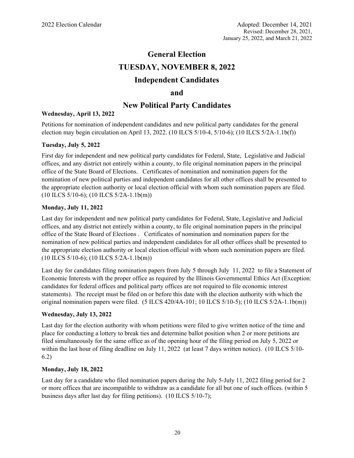# **General Election TUESDAY, NOVEMBER 8, 2022 Independent Candidates**

# **and**

# **New Political Party Candidates**

### **Wednesday, April 13, 2022**

Petitions for nomination of independent candidates and new political party candidates for the general election may begin circulation on April 13, 2022. (10 ILCS 5/10-4, 5/10-6); (10 ILCS 5/2A-1.1b(f))

### **Tuesday, July 5, 2022**

First day for independent and new political party candidates for Federal, State, Legislative and Judicial offices, and any district not entirely within a county, to file original nomination papers in the principal office of the State Board of Elections. Certificates of nomination and nomination papers for the nomination of new political parties and independent candidates for all other offices shall be presented to the appropriate election authority or local election official with whom such nomination papers are filed. (10 ILCS 5/10-6); (10 ILCS 5/2A-1.1b(m))

### **Monday, July 11, 2022**

Last day for independent and new political party candidates for Federal, State, Legislative and Judicial offices, and any district not entirely within a county, to file original nomination papers in the principal office of the State Board of Elections . Certificates of nomination and nomination papers for the nomination of new political parties and independent candidates for all other offices shall be presented to the appropriate election authority or local election official with whom such nomination papers are filed. (10 ILCS 5/10-6); (10 ILCS 5/2A-1.1b(m))

Last day for candidates filing nomination papers from July 5 through July 11, 2022 to file a Statement of Economic Interests with the proper office as required by the Illinois Governmental Ethics Act (Exception: candidates for federal offices and political party offices are not required to file economic interest statements). The receipt must be filed on or before this date with the election authority with which the original nomination papers were filed. (5 ILCS 420/4A-101; 10 ILCS 5/10-5); (10 ILCS 5/2A-1.1b(m))

### **Wednesday, July 13, 2022**

Last day for the election authority with whom petitions were filed to give written notice of the time and place for conducting a lottery to break ties and determine ballot position when 2 or more petitions are filed simultaneously for the same office as of the opening hour of the filing period on July 5, 2022 or within the last hour of filing deadline on July 11, 2022 (at least 7 days written notice). (10 ILCS 5/10-6.2)

### **Monday, July 18, 2022**

Last day for a candidate who filed nomination papers during the July 5-July 11, 2022 filing period for 2 or more offices that are incompatible to withdraw as a candidate for all but one of such offices. (within 5 business days after last day for filing petitions). (10 ILCS 5/10-7);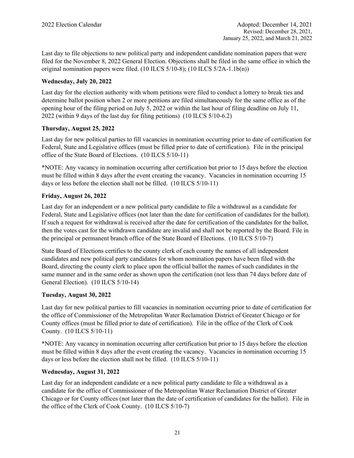Last day to file objections to new political party and independent candidate nomination papers that were filed for the November 8, 2022 General Election. Objections shall be filed in the same office in which the original nomination papers were filed. (10 ILCS 5/10-8); (10 ILCS 5/2A-1.1b(n))

# **Wednesday, July 20, 2022**

Last day for the election authority with whom petitions were filed to conduct a lottery to break ties and determine ballot position when 2 or more petitions are filed simultaneously for the same office as of the opening hour of the filing period on July 5, 2022 or within the last hour of filing deadline on July 11, 2022 (within 9 days of the last day for filing petitions) (10 ILCS 5/10-6.2)

# **Thursday, August 25, 2022**

Last day for new political parties to fill vacancies in nomination occurring prior to date of certification for Federal, State and Legislative offices (must be filled prior to date of certification). File in the principal office of the State Board of Elections. (10 ILCS 5/10-11)

\*NOTE: Any vacancy in nomination occurring after certification but prior to 15 days before the election must be filled within 8 days after the event creating the vacancy. Vacancies in nomination occurring 15 days or less before the election shall not be filled. (10 ILCS 5/10-11)

# **Friday, August 26, 2022**

Last day for an independent or a new political party candidate to file a withdrawal as a candidate for Federal, State and Legislative offices (not later than the date for certification of candidates for the ballot). If such a request for withdrawal is received after the date for certification of the candidates for the ballot, then the votes cast for the withdrawn candidate are invalid and shall not be reported by the Board. File in the principal or permanent branch office of the State Board of Elections. (10 ILCS 5/10-7)

State Board of Elections certifies to the county clerk of each county the names of all independent candidates and new political party candidates for whom nomination papers have been filed with the Board, directing the county clerk to place upon the official ballot the names of such candidates in the same manner and in the same order as shown upon the certification (not less than 74 days before date of General Election). (10 ILCS 5/10-14)

### **Tuesday, August 30, 2022**

Last day for new political parties to fill vacancies in nomination occurring prior to date of certification for the office of Commissioner of the Metropolitan Water Reclamation District of Greater Chicago or for County offices (must be filled prior to date of certification). File in the office of the Clerk of Cook County. (10 ILCS 5/10-11)

\*NOTE: Any vacancy in nomination occurring after certification but prior to 15 days before the election must be filled within 8 days after the event creating the vacancy. Vacancies in nomination occurring 15 days or less before the election shall not be filled. (10 ILCS 5/10-11)

# **Wednesday, August 31, 2022**

Last day for an independent candidate or a new political party candidate to file a withdrawal as a candidate for the office of Commissioner of the Metropolitan Water Reclamation District of Greater Chicago or for County offices (not later than the date of certification of candidates for the ballot). File in the office of the Clerk of Cook County. (10 ILCS 5/10-7)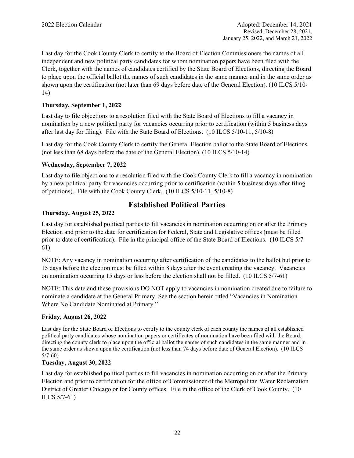Last day for the Cook County Clerk to certify to the Board of Election Commissioners the names of all independent and new political party candidates for whom nomination papers have been filed with the Clerk, together with the names of candidates certified by the State Board of Elections, directing the Board to place upon the official ballot the names of such candidates in the same manner and in the same order as shown upon the certification (not later than 69 days before date of the General Election). (10 ILCS 5/10- 14)

# **Thursday, September 1, 2022**

Last day to file objections to a resolution filed with the State Board of Elections to fill a vacancy in nomination by a new political party for vacancies occurring prior to certification (within 5 business days after last day for filing). File with the State Board of Elections. (10 ILCS 5/10-11, 5/10-8)

Last day for the Cook County Clerk to certify the General Election ballot to the State Board of Elections (not less than 68 days before the date of the General Election). (10 ILCS 5/10-14)

### **Wednesday, September 7, 2022**

Last day to file objections to a resolution filed with the Cook County Clerk to fill a vacancy in nomination by a new political party for vacancies occurring prior to certification (within 5 business days after filing of petitions). File with the Cook County Clerk. (10 ILCS 5/10-11, 5/10-8)

# **Thursday, August 25, 2022**

# **Established Political Parties**

Last day for established political parties to fill vacancies in nomination occurring on or after the Primary Election and prior to the date for certification for Federal, State and Legislative offices (must be filled prior to date of certification). File in the principal office of the State Board of Elections. (10 ILCS 5/7- 61)

NOTE: Any vacancy in nomination occurring after certification of the candidates to the ballot but prior to 15 days before the election must be filled within 8 days after the event creating the vacancy. Vacancies on nomination occurring 15 days or less before the election shall not be filled. (10 ILCS 5/7-61)

NOTE: This date and these provisions DO NOT apply to vacancies in nomination created due to failure to nominate a candidate at the General Primary. See the section herein titled "Vacancies in Nomination Where No Candidate Nominated at Primary."

### **Friday, August 26, 2022**

Last day for the State Board of Elections to certify to the county clerk of each county the names of all established political party candidates whose nomination papers or certificates of nomination have been filed with the Board, directing the county clerk to place upon the official ballot the names of such candidates in the same manner and in the same order as shown upon the certification (not less than 74 days before date of General Election). (10 ILCS 5/7-60)

### **Tuesday, August 30, 2022**

Last day for established political parties to fill vacancies in nomination occurring on or after the Primary Election and prior to certification for the office of Commissioner of the Metropolitan Water Reclamation District of Greater Chicago or for County offices. File in the office of the Clerk of Cook County. (10 ILCS 5/7-61)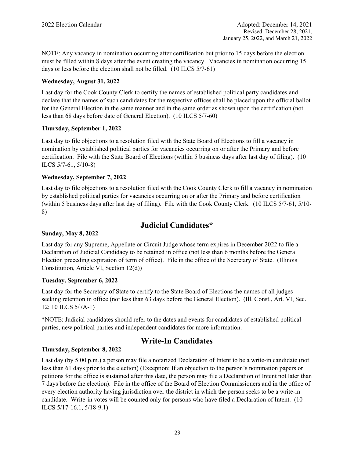NOTE: Any vacancy in nomination occurring after certification but prior to 15 days before the election must be filled within 8 days after the event creating the vacancy. Vacancies in nomination occurring 15 days or less before the election shall not be filled. (10 ILCS 5/7-61)

# **Wednesday, August 31, 2022**

Last day for the Cook County Clerk to certify the names of established political party candidates and declare that the names of such candidates for the respective offices shall be placed upon the official ballot for the General Election in the same manner and in the same order as shown upon the certification (not less than 68 days before date of General Election). (10 ILCS 5/7-60)

# **Thursday, September 1, 2022**

Last day to file objections to a resolution filed with the State Board of Elections to fill a vacancy in nomination by established political parties for vacancies occurring on or after the Primary and before certification. File with the State Board of Elections (within 5 business days after last day of filing). (10 ILCS 5/7-61, 5/10-8)

# **Wednesday, September 7, 2022**

Last day to file objections to a resolution filed with the Cook County Clerk to fill a vacancy in nomination by established political parties for vacancies occurring on or after the Primary and before certification (within 5 business days after last day of filing). File with the Cook County Clerk. (10 ILCS 5/7-61, 5/10- 8)

# **Judicial Candidates\***

# **Sunday, May 8, 2022**

Last day for any Supreme, Appellate or Circuit Judge whose term expires in December 2022 to file a Declaration of Judicial Candidacy to be retained in office (not less than 6 months before the General Election preceding expiration of term of office). File in the office of the Secretary of State. (Illinois Constitution, Article VI, Section 12(d))

# **Tuesday, September 6, 2022**

Last day for the Secretary of State to certify to the State Board of Elections the names of all judges seeking retention in office (not less than 63 days before the General Election). (Ill. Const., Art. VI, Sec. 12; 10 ILCS 5/7A-1)

\*NOTE: Judicial candidates should refer to the dates and events for candidates of established political parties, new political parties and independent candidates for more information.

# **Write-In Candidates**

# **Thursday, September 8, 2022**

Last day (by 5:00 p.m.) a person may file a notarized Declaration of Intent to be a write-in candidate (not less than 61 days prior to the election) (Exception: If an objection to the person's nomination papers or petitions for the office is sustained after this date, the person may file a Declaration of Intent not later than 7 days before the election). File in the office of the Board of Election Commissioners and in the office of every election authority having jurisdiction over the district in which the person seeks to be a write-in candidate. Write-in votes will be counted only for persons who have filed a Declaration of Intent. (10 ILCS 5/17-16.1, 5/18-9.1)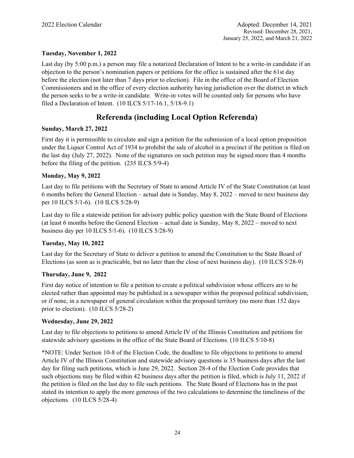# **Tuesday, November 1, 2022**

Last day (by 5:00 p.m.) a person may file a notarized Declaration of Intent to be a write-in candidate if an objection to the person's nomination papers or petitions for the office is sustained after the 61st day before the election (not later than 7 days prior to election). File in the office of the Board of Election Commissioners and in the office of every election authority having jurisdiction over the district in which the person seeks to be a write-in candidate. Write-in votes will be counted only for persons who have filed a Declaration of Intent. (10 ILCS 5/17-16.1, 5/18-9.1)

# **Referenda (including Local Option Referenda)**

### **Sunday, March 27, 2022**

First day it is permissible to circulate and sign a petition for the submission of a local option proposition under the Liquor Control Act of 1934 to prohibit the sale of alcohol in a precinct if the petition is filed on the last day (July 27, 2022). None of the signatures on such petition may be signed more than 4 months before the filing of the petition. (235 ILCS 5/9-4)

### **Monday, May 9, 2022**

Last day to file petitions with the Secretary of State to amend Article IV of the State Constitution (at least 6 months before the General Election – actual date is Sunday, May 8, 2022 – moved to next business day per 10 ILCS 5/1-6). (10 ILCS 5/28-9)

Last day to file a statewide petition for advisory public policy question with the State Board of Elections (at least 6 months before the General Election – actual date is Sunday, May 8, 2022 – moved to next business day per 10 ILCS 5/1-6). (10 ILCS 5/28-9)

### **Tuesday, May 10, 2022**

Last day for the Secretary of State to deliver a petition to amend the Constitution to the State Board of Elections (as soon as is practicable, but no later than the close of next business day). (10 ILCS 5/28-9)

### **Thursday, June 9, 2022**

First day notice of intention to file a petition to create a political subdivision whose officers are to be elected rather than appointed may be published in a newspaper within the proposed political subdivision, or if none, in a newspaper of general circulation within the proposed territory (no more than 152 days prior to election). (10 ILCS 5/28-2)

### **Wednesday, June 29, 2022**

Last day to file objections to petitions to amend Article IV of the Illinois Constitution and petitions for statewide advisory questions in the office of the State Board of Elections. (10 ILCS 5/10-8)

\*NOTE: Under Section 10-8 of the Election Code, the deadline to file objections to petitions to amend Article IV of the Illinois Constitution and statewide advisory questions is 35 business days after the last day for filing such petitions, which is June 29, 2022. Section 28-4 of the Election Code provides that such objections may be filed within 42 business days after the petition is filed, which is July 11, 2022 if the petition is filed on the last day to file such petitions. The State Board of Elections has in the past stated its intention to apply the more generous of the two calculations to determine the timeliness of the objections. (10 ILCS 5/28-4)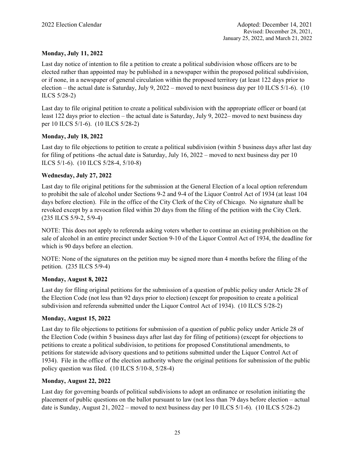# **Monday, July 11, 2022**

Last day notice of intention to file a petition to create a political subdivision whose officers are to be elected rather than appointed may be published in a newspaper within the proposed political subdivision, or if none, in a newspaper of general circulation within the proposed territory (at least 122 days prior to election – the actual date is Saturday, July 9, 2022 – moved to next business day per 10 ILCS 5/1-6). (10 ILCS 5/28-2)

Last day to file original petition to create a political subdivision with the appropriate officer or board (at least 122 days prior to election – the actual date is Saturday, July 9, 2022– moved to next business day per 10 ILCS 5/1-6). (10 ILCS 5/28-2)

# **Monday, July 18, 2022**

Last day to file objections to petition to create a political subdivision (within 5 business days after last day for filing of petitions -the actual date is Saturday, July 16, 2022 – moved to next business day per 10 ILCS 5/1-6). (10 ILCS 5/28-4, 5/10-8)

# **Wednesday, July 27, 2022**

Last day to file original petitions for the submission at the General Election of a local option referendum to prohibit the sale of alcohol under Sections 9-2 and 9-4 of the Liquor Control Act of 1934 (at least 104 days before election). File in the office of the City Clerk of the City of Chicago. No signature shall be revoked except by a revocation filed within 20 days from the filing of the petition with the City Clerk. (235 ILCS 5/9-2, 5/9-4)

NOTE: This does not apply to referenda asking voters whether to continue an existing prohibition on the sale of alcohol in an entire precinct under Section 9-10 of the Liquor Control Act of 1934, the deadline for which is 90 days before an election.

NOTE: None of the signatures on the petition may be signed more than 4 months before the filing of the petition. (235 ILCS 5/9-4)

### **Monday, August 8, 2022**

Last day for filing original petitions for the submission of a question of public policy under Article 28 of the Election Code (not less than 92 days prior to election) (except for proposition to create a political subdivision and referenda submitted under the Liquor Control Act of 1934). (10 ILCS 5/28-2)

# **Monday, August 15, 2022**

Last day to file objections to petitions for submission of a question of public policy under Article 28 of the Election Code (within 5 business days after last day for filing of petitions) (except for objections to petitions to create a political subdivision, to petitions for proposed Constitutional amendments, to petitions for statewide advisory questions and to petitions submitted under the Liquor Control Act of 1934). File in the office of the election authority where the original petitions for submission of the public policy question was filed. (10 ILCS 5/10-8, 5/28-4)

# **Monday, August 22, 2022**

Last day for governing boards of political subdivisions to adopt an ordinance or resolution initiating the placement of public questions on the ballot pursuant to law (not less than 79 days before election – actual date is Sunday, August 21, 2022 – moved to next business day per 10 ILCS 5/1-6). (10 ILCS 5/28-2)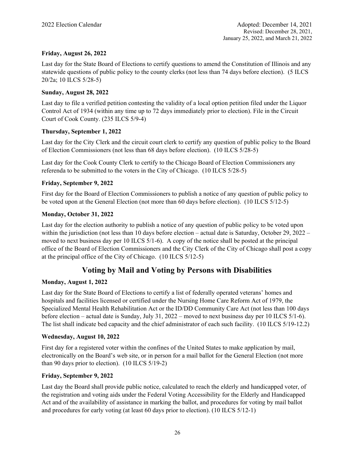# **Friday, August 26, 2022**

Last day for the State Board of Elections to certify questions to amend the Constitution of Illinois and any statewide questions of public policy to the county clerks (not less than 74 days before election). (5 ILCS 20/2a; 10 ILCS 5/28-5)

### **Sunday, August 28, 2022**

Last day to file a verified petition contesting the validity of a local option petition filed under the Liquor Control Act of 1934 (within any time up to 72 days immediately prior to election). File in the Circuit Court of Cook County. (235 ILCS 5/9-4)

### **Thursday, September 1, 2022**

Last day for the City Clerk and the circuit court clerk to certify any question of public policy to the Board of Election Commissioners (not less than 68 days before election). (10 ILCS 5/28-5)

Last day for the Cook County Clerk to certify to the Chicago Board of Election Commissioners any referenda to be submitted to the voters in the City of Chicago. (10 ILCS 5/28-5)

### **Friday, September 9, 2022**

First day for the Board of Election Commissioners to publish a notice of any question of public policy to be voted upon at the General Election (not more than 60 days before election). (10 ILCS 5/12-5)

### **Monday, October 31, 2022**

Last day for the election authority to publish a notice of any question of public policy to be voted upon within the jurisdiction (not less than 10 days before election – actual date is Saturday, October 29, 2022 – moved to next business day per 10 ILCS 5/1-6). A copy of the notice shall be posted at the principal office of the Board of Election Commissioners and the City Clerk of the City of Chicago shall post a copy at the principal office of the City of Chicago. (10 ILCS 5/12-5)

# **Voting by Mail and Voting by Persons with Disabilities**

### **Monday, August 1, 2022**

Last day for the State Board of Elections to certify a list of federally operated veterans' homes and hospitals and facilities licensed or certified under the Nursing Home Care Reform Act of 1979, the Specialized Mental Health Rehabilitation Act or the ID/DD Community Care Act (not less than 100 days before election – actual date is Sunday, July 31, 2022 – moved to next business day per 10 ILCS 5/1-6). The list shall indicate bed capacity and the chief administrator of each such facility. (10 ILCS 5/19-12.2)

### **Wednesday, August 10, 2022**

First day for a registered voter within the confines of the United States to make application by mail, electronically on the Board's web site, or in person for a mail ballot for the General Election (not more than 90 days prior to election). (10 ILCS 5/19-2)

### **Friday, September 9, 2022**

Last day the Board shall provide public notice, calculated to reach the elderly and handicapped voter, of the registration and voting aids under the Federal Voting Accessibility for the Elderly and Handicapped Act and of the availability of assistance in marking the ballot, and procedures for voting by mail ballot and procedures for early voting (at least 60 days prior to election). (10 ILCS 5/12-1)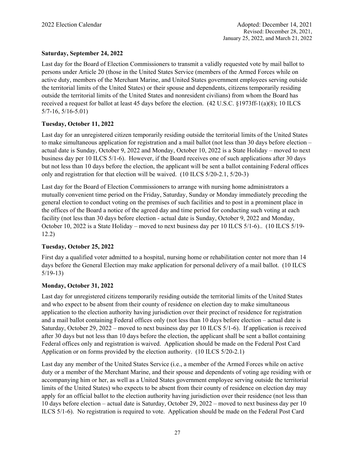# **Saturday, September 24, 2022**

Last day for the Board of Election Commissioners to transmit a validly requested vote by mail ballot to persons under Article 20 (those in the United States Service (members of the Armed Forces while on active duty, members of the Merchant Marine, and United States government employees serving outside the territorial limits of the United States) or their spouse and dependents, citizens temporarily residing outside the territorial limits of the United States and nonresident civilians) from whom the Board has received a request for ballot at least 45 days before the election. (42 U.S.C. §1973ff-1(a)(8); 10 ILCS 5/7-16, 5/16-5.01)

# **Tuesday, October 11, 2022**

Last day for an unregistered citizen temporarily residing outside the territorial limits of the United States to make simultaneous application for registration and a mail ballot (not less than 30 days before election – actual date is Sunday, October 9, 2022 and Monday, October 10, 2022 is a State Holiday – moved to next business day per 10 ILCS 5/1-6). However, if the Board receives one of such applications after 30 days but not less than 10 days before the election, the applicant will be sent a ballot containing Federal offices only and registration for that election will be waived. (10 ILCS 5/20-2.1, 5/20-3)

Last day for the Board of Election Commissioners to arrange with nursing home administrators a mutually convenient time period on the Friday, Saturday, Sunday or Monday immediately preceding the general election to conduct voting on the premises of such facilities and to post in a prominent place in the offices of the Board a notice of the agreed day and time period for conducting such voting at each facility (not less than 30 days before election - actual date is Sunday, October 9, 2022 and Monday, October 10, 2022 is a State Holiday – moved to next business day per 10 ILCS 5/1-6).. (10 ILCS 5/19- 12.2)

# **Tuesday, October 25, 2022**

First day a qualified voter admitted to a hospital, nursing home or rehabilitation center not more than 14 days before the General Election may make application for personal delivery of a mail ballot. (10 ILCS 5/19-13)

### **Monday, October 31, 2022**

Last day for unregistered citizens temporarily residing outside the territorial limits of the United States and who expect to be absent from their county of residence on election day to make simultaneous application to the election authority having jurisdiction over their precinct of residence for registration and a mail ballot containing Federal offices only (not less than 10 days before election – actual date is Saturday, October 29, 2022 – moved to next business day per 10 ILCS 5/1-6). If application is received after 30 days but not less than 10 days before the election, the applicant shall be sent a ballot containing Federal offices only and registration is waived. Application should be made on the Federal Post Card Application or on forms provided by the election authority. (10 ILCS 5/20-2.1)

Last day any member of the United States Service (i.e., a member of the Armed Forces while on active duty or a member of the Merchant Marine, and their spouse and dependents of voting age residing with or accompanying him or her, as well as a United States government employee serving outside the territorial limits of the United States) who expects to be absent from their county of residence on election day may apply for an official ballot to the election authority having jurisdiction over their residence (not less than 10 days before election – actual date is Saturday, October 29, 2022 – moved to next business day per 10 ILCS 5/1-6). No registration is required to vote. Application should be made on the Federal Post Card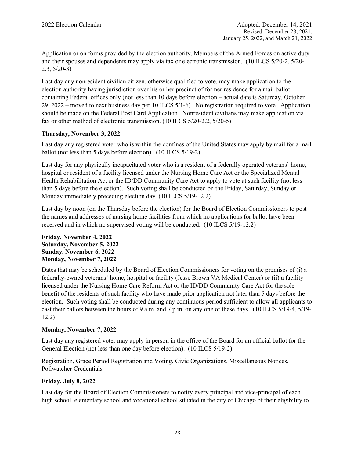Application or on forms provided by the election authority. Members of the Armed Forces on active duty and their spouses and dependents may apply via fax or electronic transmission. (10 ILCS 5/20-2, 5/20- 2.3, 5/20-3)

Last day any nonresident civilian citizen, otherwise qualified to vote, may make application to the election authority having jurisdiction over his or her precinct of former residence for a mail ballot containing Federal offices only (not less than 10 days before election – actual date is Saturday, October 29, 2022 – moved to next business day per 10 ILCS 5/1-6). No registration required to vote. Application should be made on the Federal Post Card Application. Nonresident civilians may make application via fax or other method of electronic transmission. (10 ILCS 5/20-2.2, 5/20-5)

# **Thursday, November 3, 2022**

Last day any registered voter who is within the confines of the United States may apply by mail for a mail ballot (not less than 5 days before election). (10 ILCS 5/19-2)

Last day for any physically incapacitated voter who is a resident of a federally operated veterans' home, hospital or resident of a facility licensed under the Nursing Home Care Act or the Specialized Mental Health Rehabilitation Act or the ID/DD Community Care Act to apply to vote at such facility (not less than 5 days before the election). Such voting shall be conducted on the Friday, Saturday, Sunday or Monday immediately preceding election day. (10 ILCS 5/19-12.2)

Last day by noon (on the Thursday before the election) for the Board of Election Commissioners to post the names and addresses of nursing home facilities from which no applications for ballot have been received and in which no supervised voting will be conducted. (10 ILCS 5/19-12.2)

### **Friday, November 4, 2022 Saturday, November 5, 2022 Sunday, November 6, 2022 Monday, November 7, 2022**

Dates that may be scheduled by the Board of Election Commissioners for voting on the premises of (i) a federally-owned veterans' home, hospital or facility (Jesse Brown VA Medical Center) or (ii) a facility licensed under the Nursing Home Care Reform Act or the ID/DD Community Care Act for the sole benefit of the residents of such facility who have made prior application not later than 5 days before the election. Such voting shall be conducted during any continuous period sufficient to allow all applicants to cast their ballots between the hours of 9 a.m. and 7 p.m. on any one of these days. (10 ILCS 5/19-4, 5/19- 12.2)

# **Monday, November 7, 2022**

Last day any registered voter may apply in person in the office of the Board for an official ballot for the General Election (not less than one day before election). (10 ILCS 5/19-2)

Registration, Grace Period Registration and Voting, Civic Organizations, Miscellaneous Notices, Pollwatcher Credentials

# **Friday, July 8, 2022**

Last day for the Board of Election Commissioners to notify every principal and vice-principal of each high school, elementary school and vocational school situated in the city of Chicago of their eligibility to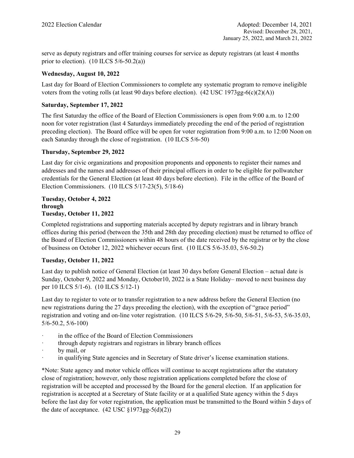serve as deputy registrars and offer training courses for service as deputy registrars (at least 4 months prior to election).  $(10$  ILCS  $5/6 - 50.2(a)$ )

# **Wednesday, August 10, 2022**

Last day for Board of Election Commissioners to complete any systematic program to remove ineligible voters from the voting rolls (at least 90 days before election). (42 USC 1973gg-6(c)(2)(A))

# **Saturday, September 17, 2022**

The first Saturday the office of the Board of Election Commissioners is open from 9:00 a.m. to 12:00 noon for voter registration (last 4 Saturdays immediately preceding the end of the period of registration preceding election). The Board office will be open for voter registration from 9:00 a.m. to 12:00 Noon on each Saturday through the close of registration. (10 ILCS 5/6-50)

# **Thursday, September 29, 2022**

Last day for civic organizations and proposition proponents and opponents to register their names and addresses and the names and addresses of their principal officers in order to be eligible for pollwatcher credentials for the General Election (at least 40 days before election). File in the office of the Board of Election Commissioners. (10 ILCS 5/17-23(5), 5/18-6)

### **Tuesday, October 4, 2022 through Tuesday, October 11, 2022**

Completed registrations and supporting materials accepted by deputy registrars and in library branch offices during this period (between the 35th and 28th day preceding election) must be returned to office of the Board of Election Commissioners within 48 hours of the date received by the registrar or by the close of business on October 12, 2022 whichever occurs first. (10 ILCS 5/6-35.03, 5/6-50.2)

### **Tuesday, October 11, 2022**

Last day to publish notice of General Election (at least 30 days before General Election – actual date is Sunday, October 9, 2022 and Monday, October10, 2022 is a State Holiday– moved to next business day per 10 ILCS 5/1-6). (10 ILCS 5/12-1)

Last day to register to vote or to transfer registration to a new address before the General Election (no new registrations during the 27 days preceding the election), with the exception of "grace period" registration and voting and on-line voter registration. (10 ILCS 5/6-29, 5/6-50, 5/6-51, 5/6-53, 5/6-35.03, 5/6-50.2, 5/6-100)

- ꞏ in the office of the Board of Election Commissioners
- through deputy registrars and registrars in library branch offices
- by mail, or
- in qualifying State agencies and in Secretary of State driver's license examination stations.

\*Note: State agency and motor vehicle offices will continue to accept registrations after the statutory close of registration; however, only those registration applications completed before the close of registration will be accepted and processed by the Board for the general election. If an application for registration is accepted at a Secretary of State facility or at a qualified State agency within the 5 days before the last day for voter registration, the application must be transmitted to the Board within 5 days of the date of acceptance.  $(42 \text{ USC } \S 1973 \text{ gg} - 5(d)(2))$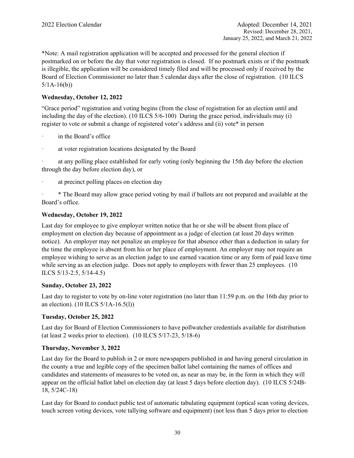\*Note: A mail registration application will be accepted and processed for the general election if postmarked on or before the day that voter registration is closed. If no postmark exists or if the postmark is illegible, the application will be considered timely filed and will be processed only if received by the Board of Election Commissioner no later than 5 calendar days after the close of registration. (10 ILCS  $5/1A-16(b)$ 

# **Wednesday, October 12, 2022**

"Grace period" registration and voting begins (from the close of registration for an election until and including the day of the election). (10 ILCS 5/6-100) During the grace period, individuals may (i) register to vote or submit a change of registered voter's address and (ii) vote\* in person

- in the Board's office
- ꞏ at voter registration locations designated by the Board

ꞏ at any polling place established for early voting (only beginning the 15th day before the election through the day before election day), or

ꞏ at precinct polling places on election day

ꞏ \* The Board may allow grace period voting by mail if ballots are not prepared and available at the Board's office.

### **Wednesday, October 19, 2022**

Last day for employee to give employer written notice that he or she will be absent from place of employment on election day because of appointment as a judge of election (at least 20 days written notice). An employer may not penalize an employee for that absence other than a deduction in salary for the time the employee is absent from his or her place of employment. An employer may not require an employee wishing to serve as an election judge to use earned vacation time or any form of paid leave time while serving as an election judge. Does not apply to employers with fewer than 25 employees. (10) ILCS 5/13-2.5, 5/14-4.5)

### **Sunday, October 23, 2022**

Last day to register to vote by on-line voter registration (no later than 11:59 p.m. on the 16th day prior to an election). (10 ILCS 5/1A-16.5(l))

### **Tuesday, October 25, 2022**

Last day for Board of Election Commissioners to have pollwatcher credentials available for distribution (at least 2 weeks prior to election). (10 ILCS 5/17-23, 5/18-6)

### **Thursday, November 3, 2022**

Last day for the Board to publish in 2 or more newspapers published in and having general circulation in the county a true and legible copy of the specimen ballot label containing the names of offices and candidates and statements of measures to be voted on, as near as may be, in the form in which they will appear on the official ballot label on election day (at least 5 days before election day). (10 ILCS 5/24B-18, 5/24C-18)

Last day for Board to conduct public test of automatic tabulating equipment (optical scan voting devices, touch screen voting devices, vote tallying software and equipment) (not less than 5 days prior to election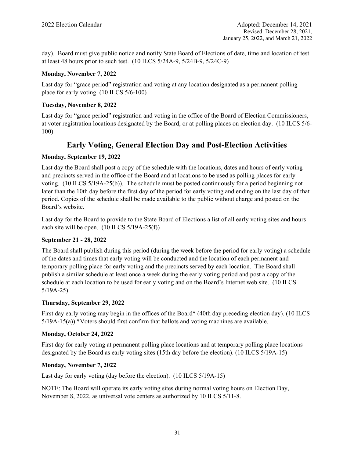day). Board must give public notice and notify State Board of Elections of date, time and location of test at least 48 hours prior to such test. (10 ILCS 5/24A-9, 5/24B-9, 5/24C-9)

# **Monday, November 7, 2022**

Last day for "grace period" registration and voting at any location designated as a permanent polling place for early voting. (10 ILCS 5/6-100)

# **Tuesday, November 8, 2022**

Last day for "grace period" registration and voting in the office of the Board of Election Commissioners, at voter registration locations designated by the Board, or at polling places on election day. (10 ILCS 5/6- 100)

# **Early Voting, General Election Day and Post-Election Activities**

# **Monday, September 19, 2022**

Last day the Board shall post a copy of the schedule with the locations, dates and hours of early voting and precincts served in the office of the Board and at locations to be used as polling places for early voting. (10 ILCS 5/19A-25(b)). The schedule must be posted continuously for a period beginning not later than the 10th day before the first day of the period for early voting and ending on the last day of that period. Copies of the schedule shall be made available to the public without charge and posted on the Board's website.

Last day for the Board to provide to the State Board of Elections a list of all early voting sites and hours each site will be open. (10 ILCS 5/19A-25(f))

# **September 21 - 28, 2022**

The Board shall publish during this period (during the week before the period for early voting) a schedule of the dates and times that early voting will be conducted and the location of each permanent and temporary polling place for early voting and the precincts served by each location. The Board shall publish a similar schedule at least once a week during the early voting period and post a copy of the schedule at each location to be used for early voting and on the Board's Internet web site. (10 ILCS 5/19A-25)

# **Thursday, September 29, 2022**

First day early voting may begin in the offices of the Board\* (40th day preceding election day). (10 ILCS 5/19A-15(a)) \*Voters should first confirm that ballots and voting machines are available.

# **Monday, October 24, 2022**

First day for early voting at permanent polling place locations and at temporary polling place locations designated by the Board as early voting sites (15th day before the election). (10 ILCS 5/19A-15)

# **Monday, November 7, 2022**

Last day for early voting (day before the election). (10 ILCS 5/19A-15)

NOTE: The Board will operate its early voting sites during normal voting hours on Election Day, November 8, 2022, as universal vote centers as authorized by 10 ILCS 5/11-8.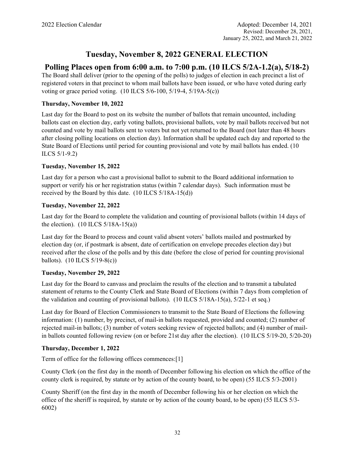# **Tuesday, November 8, 2022 GENERAL ELECTION**

# **Polling Places open from 6:00 a.m. to 7:00 p.m. (10 ILCS 5/2A-1.2(a), 5/18-2)**

The Board shall deliver (prior to the opening of the polls) to judges of election in each precinct a list of registered voters in that precinct to whom mail ballots have been issued, or who have voted during early voting or grace period voting. (10 ILCS 5/6-100, 5/19-4, 5/19A-5(c))

# **Thursday, November 10, 2022**

Last day for the Board to post on its website the number of ballots that remain uncounted, including ballots cast on election day, early voting ballots, provisional ballots, vote by mail ballots received but not counted and vote by mail ballots sent to voters but not yet returned to the Board (not later than 48 hours after closing polling locations on election day). Information shall be updated each day and reported to the State Board of Elections until period for counting provisional and vote by mail ballots has ended. (10 ILCS 5/1-9.2)

# **Tuesday, November 15, 2022**

Last day for a person who cast a provisional ballot to submit to the Board additional information to support or verify his or her registration status (within 7 calendar days). Such information must be received by the Board by this date. (10 ILCS 5/18A-15(d))

# **Tuesday, November 22, 2022**

Last day for the Board to complete the validation and counting of provisional ballots (within 14 days of the election).  $(10$  ILCS  $5/18A-15(a)$ 

Last day for the Board to process and count valid absent voters' ballots mailed and postmarked by election day (or, if postmark is absent, date of certification on envelope precedes election day) but received after the close of the polls and by this date (before the close of period for counting provisional ballots). (10 ILCS 5/19-8(c))

### **Tuesday, November 29, 2022**

Last day for the Board to canvass and proclaim the results of the election and to transmit a tabulated statement of returns to the County Clerk and State Board of Elections (within 7 days from completion of the validation and counting of provisional ballots). (10 ILCS  $5/18A-15(a)$ ,  $5/22-1$  et seq.)

Last day for Board of Election Commissioners to transmit to the State Board of Elections the following information: (1) number, by precinct, of mail-in ballots requested, provided and counted; (2) number of rejected mail-in ballots; (3) number of voters seeking review of rejected ballots; and (4) number of mailin ballots counted following review (on or before 21st day after the election). (10 ILCS 5/19-20, 5/20-20)

# **Thursday, December 1, 2022**

Term of office for the following offices commences:[1]

County Clerk (on the first day in the month of December following his election on which the office of the county clerk is required, by statute or by action of the county board, to be open) (55 ILCS 5/3-2001)

County Sheriff (on the first day in the month of December following his or her election on which the office of the sheriff is required, by statute or by action of the county board, to be open) (55 ILCS 5/3- 6002)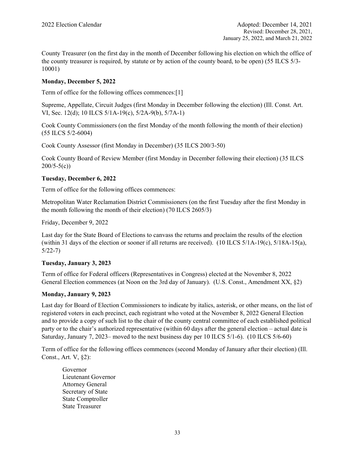County Treasurer (on the first day in the month of December following his election on which the office of the county treasurer is required, by statute or by action of the county board, to be open) (55 ILCS 5/3- 10001)

# **Monday, December 5, 2022**

Term of office for the following offices commences:[1]

Supreme, Appellate, Circuit Judges (first Monday in December following the election) (Ill. Const. Art. VI, Sec. 12(d); 10 ILCS 5/1A-19(c), 5/2A-9(b), 5/7A-1)

Cook County Commissioners (on the first Monday of the month following the month of their election) (55 ILCS 5/2-6004)

Cook County Assessor (first Monday in December) (35 ILCS 200/3-50)

Cook County Board of Review Member (first Monday in December following their election) (35 ILCS  $200/5-5(c)$ 

# **Tuesday, December 6, 2022**

Term of office for the following offices commences:

Metropolitan Water Reclamation District Commissioners (on the first Tuesday after the first Monday in the month following the month of their election) (70 ILCS 2605/3)

Friday, December 9, 2022

Last day for the State Board of Elections to canvass the returns and proclaim the results of the election (within 31 days of the election or sooner if all returns are received). (10 ILCS 5/1A-19(c), 5/18A-15(a), 5/22-7)

# **Tuesday, January 3, 2023**

Term of office for Federal officers (Representatives in Congress) elected at the November 8, 2022 General Election commences (at Noon on the 3rd day of January). (U.S. Const., Amendment XX, §2)

# **Monday, January 9, 2023**

Last day for Board of Election Commissioners to indicate by italics, asterisk, or other means, on the list of registered voters in each precinct, each registrant who voted at the November 8, 2022 General Election and to provide a copy of such list to the chair of the county central committee of each established political party or to the chair's authorized representative (within 60 days after the general election – actual date is Saturday, January 7, 2023– moved to the next business day per 10 ILCS 5/1-6). (10 ILCS 5/6-60)

Term of office for the following offices commences (second Monday of January after their election) (Ill. Const., Art. V, §2):

Governor Lieutenant Governor Attorney General Secretary of State State Comptroller State Treasurer